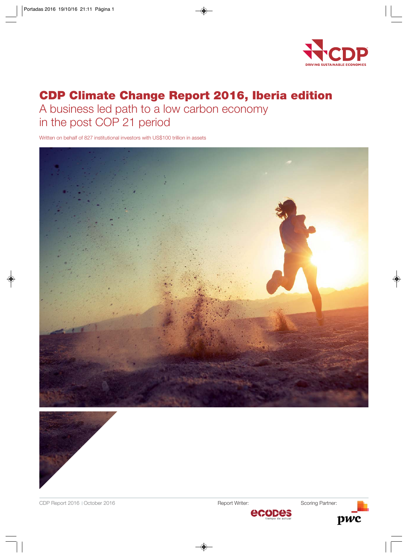

# **CDP Climate Change Report 2016, Iberia edition**

A business led path to a low carbon economy in the post COP 21 period

Written on behalf of 827 institutional investors with US\$100 trillion in assets





Report Writer: Scoring Partner:

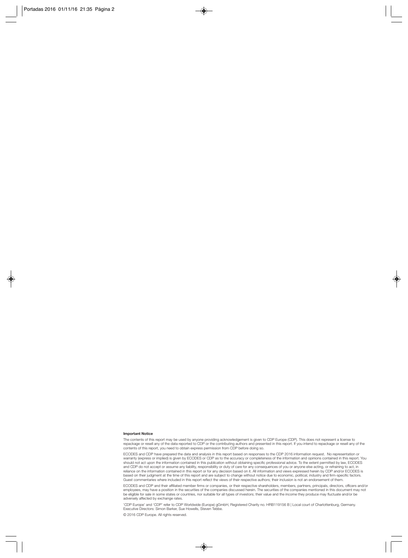#### **Important Notice**

The contents of this report may be used by anyone providing acknowledgement is given to CDP Europe (CDP). This does not represent a license to repackage or resell any of the data reported to CDP or the contributing authors and presented in this report. If you intend to repackage or resell any of the<br>contents of this report, you need to obtain express permission f

ECODES and CDP have prepared the data and analysis in this report based on responses to the CDP 2016 information request. No representation or warranty (express or implied) is given by ECODES or CDP as to the accuracy or completeness of the information and opinions contained in this report. You<br>should not act upon the information contained in this publication wit Guest commentaries where included in this report reflect the views of their respective authors; their inclusion is not an endorsement of them.

ECODES and CDP and their affiliated member firms or companies, or their respective shareholders, members, partners, principals, directors, officers and/or<br>employees, may have a position in the securities of the companies d be eligible for sale in some states or countries, nor suitable for all types of investors; their value and the income they produce may fluctuate and/or be adversely affected by exchange rates.

'CDP Europe' and 'CDP' refer to CDP Worldwide (Europe) gGmbH, Registered Charity no. HRB119156 B | Local court of Charlottenburg, Germany. Executive Directors: Simon Barker, Sue Howells, Steven Tebbe.

© 2016 CDP Europe. All rights reserved.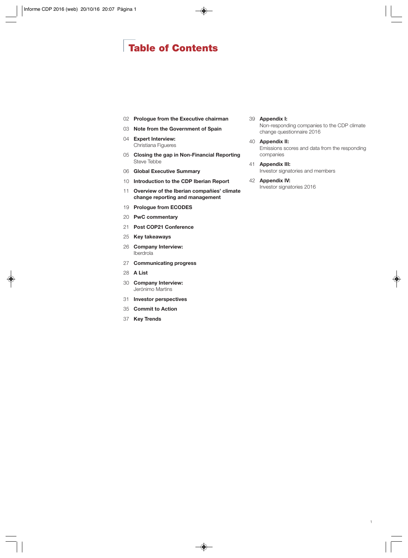## **Table of Contents**

- **[Prologue from the Executive chairman](#page-3-0)**
- **[Note from the Government of Spain](#page-4-0)**
- **Expert Interview:** [Christiana Figueres](#page-5-0)
- **[Closing the gap in Non-Financial Reporting](#page-6-0)** Steve Tebbe
- **[Global Executive Summary](#page-7-0)**
- **[Introduction to the CDP Iberian Report](#page-11-0)**
- **[Overview of the Iberian compañies' climate](#page-12-0) change reporting and management**
- **[Prologue from ECODES](#page-20-0)**
- **[PwC commentary](#page-21-0)**
- **[Post COP21 Conference](#page-22-0)**
- **[Key takeaways](#page-26-0)**
- **[Company Interview:](#page-27-0)** Iberdrola
- **[Communicating progress](#page-28-0)**
- **[A List](#page-29-0)**
- **[Company Interview:](#page-31-0)** Jerónimo Martins
- **[Investor perspectives](#page-32-0)**
- **[Commit to Action](#page-36-0)**
- **[Key Trends](#page-38-0)**

#### **Appendix I:**

[Non-responding companies to the CDP climate](#page-40-0) change questionnaire 2016

- **Appendix II:** [Emissions scores and data from the responding](#page-41-0) companies
- **Appendix III:**
	- [Investor signatories and members](#page-42-0)
- **Appendix IV:** [Investor signatories 2016](#page-43-0)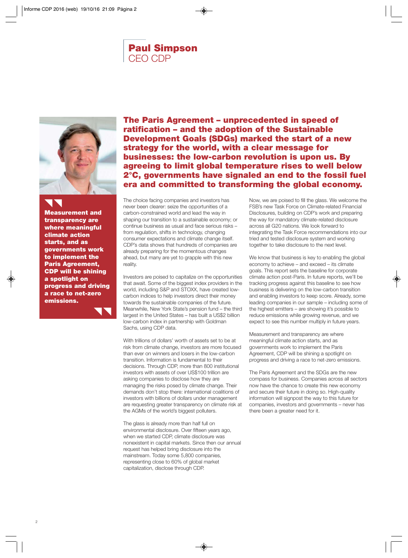## **Paul Simpson** CEO CDP

<span id="page-3-0"></span>

**Measurement and transparency are where meaningful climate action starts, and as governments work to implement the Paris Agreement, CDP will be shining a spotlight on progress and driving a race to net-zero emissions.**

**The Paris Agreement – unprecedented in speed of ratification – and the adoption of the Sustainable Development Goals (SDGs) marked the start of a new strategy for the world, with a clear message for businesses: the low-carbon revolution is upon us. By agreeing to limit global temperature rises to well below 2°C, governments have signaled an end to the fossil fuel era and committed to transforming the global economy.**

The choice facing companies and investors has never been clearer: seize the opportunities of a carbon-constrained world and lead the way in shaping our transition to a sustainable economy; or continue business as usual and face serious risks – from regulation, shifts in technology, changing consumer expectations and climate change itself. CDP's data shows that hundreds of companies are already preparing for the momentous changes ahead, but many are yet to grapple with this new reality.

Investors are poised to capitalize on the opportunities that await. Some of the biggest index providers in the world, including S&P and STOXX, have created lowcarbon indices to help investors direct their money towards the sustainable companies of the future. Meanwhile, New York State's pension fund – the third largest in the United States – has built a US\$2 billion low-carbon index in partnership with Goldman Sachs, using CDP data.

With trillions of dollars' worth of assets set to be at risk from climate change, investors are more focused than ever on winners and losers in the low-carbon transition. Information is fundamental to their decisions. Through CDP, more than 800 institutional investors with assets of over US\$100 trillion are asking companies to disclose how they are managing the risks posed by climate change. Their demands don't stop there: international coalitions of investors with billions of dollars under management are requesting greater transparency on climate risk at the AGMs of the world's biggest polluters.

The glass is already more than half full on environmental disclosure. Over fifteen years ago, when we started CDP, climate disclosure was nonexistent in capital markets. Since then our annual request has helped bring disclosure into the mainstream. Today some 5,800 companies, representing close to 60% of global market capitalization, disclose through CDP.

Now, we are poised to fill the glass. We welcome the FSB's new Task Force on Climate-related Financial Disclosures, building on CDP's work and preparing the way for mandatory climate-related disclosure across all G20 nations. We look forward to integrating the Task Force recommendations into our tried and tested disclosure system and working together to take disclosure to the next level.

We know that business is key to enabling the global economy to achieve – and exceed – its climate goals. This report sets the baseline for corporate climate action post-Paris. In future reports, we'll be tracking progress against this baseline to see how business is delivering on the low-carbon transition and enabling investors to keep score. Already, some leading companies in our sample – including some of the highest emitters – are showing it's possible to reduce emissions while growing revenue, and we expect to see this number multiply in future years.

Measurement and transparency are where meaningful climate action starts, and as governments work to implement the Paris Agreement, CDP will be shining a spotlight on progress and driving a race to net-zero emissions.

The Paris Agreement and the SDGs are the new compass for business. Companies across all sectors now have the chance to create this new economy and secure their future in doing so. High-quality information will signpost the way to this future for companies, investors and governments – never has there been a greater need for it.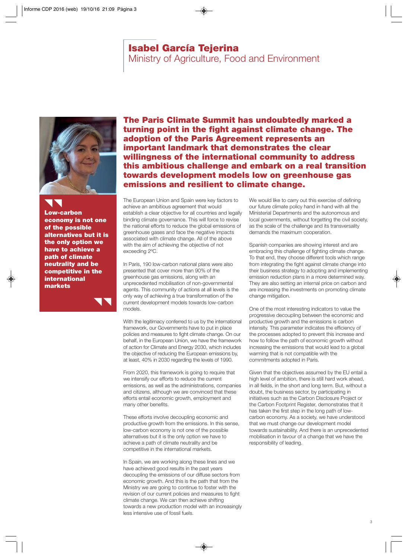### **Isabel García Tejerina**

Ministry of Agriculture, Food and Environment

<span id="page-4-0"></span>

**Low-carbon economy is not one of the possible alternatives but it is the only option we have to achieve a path of climate neutrality and be competitive in the international markets**

**The Paris Climate Summit has undoubtedly marked a turning point in the fight against climate change. The adoption of the Paris Agreement represents an important landmark that demonstrates the clear willingness of the international community to address this ambitious challenge and embark on a real transition towards development models low on greenhouse gas emissions and resilient to climate change.** 

The European Union and Spain were key factors to achieve an ambitious agreement that would establish a clear objective for all countries and legally binding climate governance. This will force to revise the national efforts to reduce the global emissions of greenhouse gases and face the negative impacts associated with climate change. All of the above with the aim of achieving the objective of not exceeding 2ºC.

In Paris, 190 low-carbon national plans were also presented that cover more than 90% of the greenhouse gas emissions, along with an unprecedented mobilisation of non-governmental agents. This community of actions at all levels is the only way of achieving a true transformation of the current development models towards low-carbon models.

With the legitimacy conferred to us by the international framework, our Governments have to put in place policies and measures to fight climate change. On our behalf, in the European Union, we have the framework of action for Climate and Energy 2030, which includes the objective of reducing the European emissions by, at least, 40% in 2030 regarding the levels of 1990.

From 2020, this framework is going to require that we intensify our efforts to reduce the current emissions, as well as the administrations, companies and citizens, although we are convinced that these efforts entail economic growth, employment and many other benefits.

These efforts involve decoupling economic and productive growth from the emissions. In this sense, low-carbon economy is not one of the possible alternatives but it is the only option we have to achieve a path of climate neutrality and be competitive in the international markets.

In Spain, we are working along these lines and we have achieved good results in the past years decoupling the emissions of our diffuse sectors from economic growth. And this is the path that from the Ministry we are going to continue to foster with the revision of our current policies and measures to fight climate change. We can then achieve shifting towards a new production model with an increasingly less intensive use of fossil fuels.

We would like to carry out this exercise of defining our future climate policy hand in hand with all the Ministerial Departments and the autonomous and local governments, without forgetting the civil society, as the scale of the challenge and its transversality demands the maximum cooperation.

Spanish companies are showing interest and are embracing this challenge of fighting climate change. To that end, they choose different tools which range from integrating the fight against climate change into their business strategy to adopting and implementing emission reduction plans in a more determined way. They are also setting an internal price on carbon and are increasing the investments on promoting climate change mitigation.

One of the most interesting indicators to value the progressive decoupling between the economic and productive growth and the emissions is carbon intensity. This parameter indicates the efficiency of the processes adopted to prevent this increase and how to follow the path of economic growth without increasing the emissions that would lead to a global warming that is not compatible with the commitments adopted in Paris.

Given that the objectives assumed by the EU entail a high level of ambition, there is still hard work ahead, in all fields, in the short and long term. But, without a doubt, the business sector, by participating in initiatives such as the Carbon Disclosure Project or the Carbon Footprint Register, demonstrates that it has taken the first step in the long path of lowcarbon economy. As a society, we have understood that we must change our development model towards sustainability. And there is an unprecedented mobilisation in favour of a change that we have the responsibility of leading.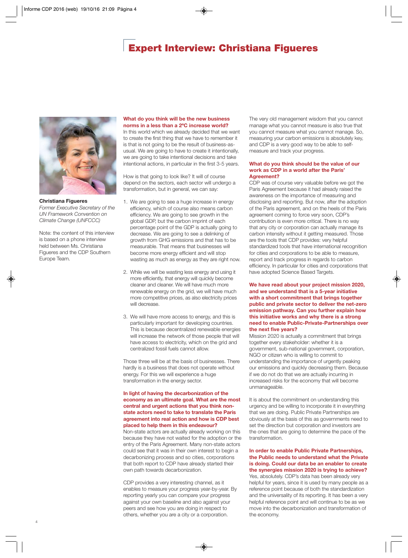## **Expert Interview: Christiana Figueres**

<span id="page-5-0"></span>

**Christiana Figueres** *Former Executive Secretary of the UN Framework Convention on Climate Change (UNFCCC)*

Note: the content of this interview is based on a phone interview held between Ms. Christiana Figueres and the CDP Southern Europe Team.

#### **What do you think will be the new business norms in a less than a 2ºC increase world?**

In this world which we already decided that we want to create the first thing that we have to remember it is that is not going to be the result of business-asusual. We are going to have to create it intentionally, we are going to take intentional decisions and take intentional actions, in particular in the first 3-5 years.

How is that going to look like? It will of course depend on the sectors, each sector will undergo a transformation, but in general, we can say:

- 1. We are going to see a huge increase in energy efficiency, which of course also means carbon efficiency. We are going to see growth in the global GDP, but the carbon imprint of each percentage point of the GDP is actually going to decrease. We are going to see a delinking of growth from GHG emissions and that has to be measurable. That means that businesses will become more energy efficient and will stop wasting as much as energy as they are right now.
- 2. While we will be wasting less energy and using it more efficiently, that energy will quickly become cleaner and cleaner. We will have much more renewable energy on the grid, we will have much more competitive prices, as also electricity prices will decrease.
- 3. We will have more access to energy, and this is particularly important for developing countries. This is because decentralized renewable energies will increase the network of those people that will have access to electricity, which on the grid and centralized fossil fuels cannot allow.

Those three will be at the basis of businesses. There hardly is a business that does not operate without energy. For this we will experience a huge transformation in the energy sector.

#### **In light of having the decarbonization of the economy as an ultimate goal. What are the most central and urgent actions that you think nonstate actors need to take to translate the Paris agreement into real action and how is CDP best placed to help them in this endeavour?**

Non-state actors are actually already working on this because they have not waited for the adoption or the entry of the Paris Agreement. Many non-state actors could see that it was in their own interest to begin a decarbonizing process and so cities, corporations that both report to CDP have already started their own path towards decarbonization.

CDP provides a very interesting channel, as it enables to measure your progress year-by-year. By reporting yearly you can compare your progress against your own baseline and also against your peers and see how you are doing in respect to others, whether you are a city or a corporation.

The very old management wisdom that you cannot manage what you cannot measure is also true that you cannot measure what you cannot manage. So, measuring your carbon emissions is absolutely key, and CDP is a very good way to be able to selfmeasure and track your progress.

#### **What do you think should be the value of our work as CDP in a world after the Paris' Agreement?**

CDP was of course very valuable before we got the Paris Agreement because it had already raised the awareness on the importance of measuring and disclosing and reporting. But now, after the adoption of the Paris agreement, and on the heels of the Paris agreement coming to force very soon, CDP's contribution is even more critical. There is no way that any city or corporation can actually manage its carbon intensity without it getting measured. Those are the tools that CDP provides: very helpful standardized tools that have international recognition for cities and corporations to be able to measure, report and track progress in regards to carbon efficiency. In particular for cities and corporations that have adopted Science Based Targets.

**We have read about your project mission 2020, and we understand that is a 5-year initiative with a short commitment that brings together public and private sector to deliver the net-zero emission pathway. Can you further explain how this initiative works and why there is a strong need to enable Public-Private-Partnerships over the next five years?**

Mission 2020 is actually a commitment that brings together every stakeholder: whether it is a government, sub-national government, corporation, NGO or citizen who is willing to commit to understanding the importance of urgently peaking our emissions and quickly decreasing them. Because if we do not do that we are actually incurring in increased risks for the economy that will become unmanageable.

It is about the commitment on understanding this urgency and be willing to incorporate it in everything that we are doing. Public Private Partnerships are obviously at the basis of this as governments need to set the direction but corporation and investors are the ones that are going to determine the pace of the transformation.

#### **In order to enable Public Private Partnerships, the Public needs to understand what the Private is doing. Could our data be an enabler to create the synergies mission 2020 is trying to achieve?**

Yes, absolutely. CDP's data has been already very helpful for years, since it is used by many people as a reference point because of both the standardization and the universality of its reporting. It has been a very helpful reference point and will continue to be as we move into the decarbonization and transformation of the economy.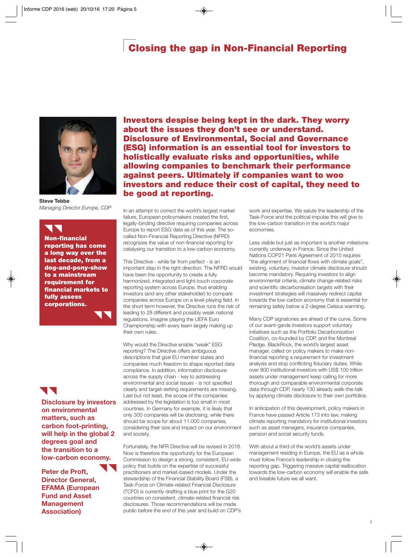## **Closing the gap in Non-Financial Reporting**

<span id="page-6-0"></span>

**Steve Tebbe** *Managing Director Europe, CDP*

**Non-financial reporting has come a long way over the last decade, from a dog-and-pony-show to a mainstream requirement for financial markets to fully assess corporations.** 

## UN

**Disclosure by investors on environmental matters, such as carbon foot-printing, will help in the global 2 degrees goal and the transition to a low-carbon economy.**

**Peter de Proft, Director General, EFAMA (European Fund and Asset Management Association)**

**Investors despise being kept in the dark. They worry about the issues they don't see or understand. Disclosure of Environmental, Social and Governance (ESG) information is an essential tool for investors to holistically evaluate risks and opportunities, while allowing companies to benchmark their performance against peers. Ultimately if companies want to woo investors and reduce their cost of capital, they need to be good at reporting.** 

In an attempt to correct the world's largest market failure, European policymakers created the first, legally-binding directive requiring companies across Europe to report ESG data as of this year. The socalled Non-Financial Reporting Directive (NFRD) recognizes the value of non-financial reporting for catalysing our transition to a low-carbon economy.

This Directive - while far from perfect - is an important step in the right direction. The NFRD would have been the opportunity to create a fully harmonized, integrated and light-touch corporate reporting system across Europe, thus enabling investors (and any other stakeholder) to compare companies across Europe on a level-playing field. In the short term however, the Directive runs the risk of leading to 28 different and possibly weak national regulations. Imagine playing the UEFA Euro Championship with every team largely making up their own rules.

Why would the Directive enable "weak" ESG reporting? The Directive offers ambiguous descriptions that give EU member states and companies much freedom to shape reported data compliance. In addition, information disclosure across the supply chain - key to addressing environmental and social issues - is not specified clearly and target-setting requirements are missing. Last but not least, the scope of the companies addressed by the legislation is too small in most countries. In Germany for example, it is likely that only 300 companies will be disclosing, while there should be scope for about 11.000 companies. considering their size and impact on our environment and society.

Fortunately, the NFR Directive will be revised in 2018. Now is therefore the opportunity for the European Commission to design a strong, consistent, EU-wide policy that builds on the expertise of successful practitioners and market-based models. Under the stewardship of the Financial Stability Board (FSB), a Task-Force on Climate-related Financial Disclosure (TCFD) is currently drafting a blue print for the G20 countries on consistent, climate-related financial risk disclosures. Those recommendations will be made public before the end of this year and build on CDP's

work and expertise. We salute the leadership of the Task-Force and the political impulse this will give to the low-carbon transition in the world's major economies.

Less visible but just as important is another milestone currently underway in France. Since the United Nations COP21 Paris Agreement of 2015 requires "the alignment of financial flows with climate goals", existing, voluntary, investor climate disclosure should become mandatory. Requiring investors to align environmental criteria, climate change-related risks and scientific decarbonisation targets with their investment strategies will massively redirect capital towards the low-carbon economy that is essential for remaining safely below a 2-degree Celsius warming.

Many CDP signatories are ahead of the curve. Some of our avant-garde investors support voluntary initiatives such as the Portfolio Decarbonization Coalition, co-founded by CDP, and the Montreal Pledge. BlackRock, the world's largest asset manager, called on policy makers to make nonfinancial reporting a requirement for investment analysis and stop conflicting fiduciary duties. While over 800 institutional investors with US\$ 100 trillion assets under management keep calling for more thorough and comparable environmental corporate data through CDP, nearly 130 already walk-the-talk by applying climate disclosure to their own portfolios.

In anticipation of this development, policy makers in France have passed Article 173 into law, making climate reporting mandatory for institutional investors such as asset managers, insurance companies, pension and social security funds.

With about a third of the world's assets under management residing in Europe, the EU as a whole must follow France's leadership in closing the reporting gap. Triggering massive capital reallocation towards the low-carbon economy will enable the safe and liveable future we all want.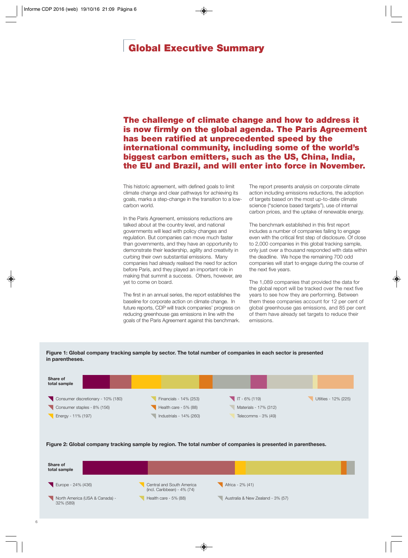## <span id="page-7-0"></span>**Global Executive Summary**

**The challenge of climate change and how to address it is now firmly on the global agenda. The Paris Agreement has been ratified at unprecedented speed by the international community, including some of the world's biggest carbon emitters, such as the US, China, India, the EU and Brazil, and will enter into force in November.**

This historic agreement, with defined goals to limit climate change and clear pathways for achieving its goals, marks a step-change in the transition to a lowcarbon world.

In the Paris Agreement, emissions reductions are talked about at the country level, and national governments will lead with policy changes and regulation. But companies can move much faster than governments, and they have an opportunity to demonstrate their leadership, agility and creativity in curbing their own substantial emissions. Many companies had already realised the need for action before Paris, and they played an important role in making that summit a success. Others, however, are yet to come on board.

The first in an annual series, the report establishes the baseline for corporate action on climate change. In future reports, CDP will track companies' progress on reducing greenhouse gas emissions in line with the goals of the Paris Agreement against this benchmark.

The report presents analysis on corporate climate action including emissions reductions, the adoption of targets based on the most up-to-date climate science ("science based targets"), use of internal carbon prices, and the uptake of renewable energy.

The benchmark established in this first report includes a number of companies failing to engage even with the critical first step of disclosure. Of close to 2,000 companies in this global tracking sample, only just over a thousand responded with data within the deadline. We hope the remaining 700 odd companies will start to engage during the course of the next five years.

The 1,089 companies that provided the data for the global report will be tracked over the next five years to see how they are performing. Between them these companies account for 12 per cent of global greenhouse gas emissions, and 85 per cent of them have already set targets to reduce their emissions.



**Figure 1: Global company tracking sample by sector. The total number of companies in each sector is presented in parentheses.**

#### **Figure 2: Global company tracking sample by region. The total number of companies is presented in parentheses.**

| Share of<br>total sample                    |                                                             |                                   |  |
|---------------------------------------------|-------------------------------------------------------------|-----------------------------------|--|
| Europe - 24% (436)                          | Central and South America<br>(incl. Caribbean) - $4\%$ (74) | Africa - 2% (41)                  |  |
| North America (USA & Canada) -<br>32% (589) | Health care - 5% (88)                                       | Australia & New Zealand - 3% (57) |  |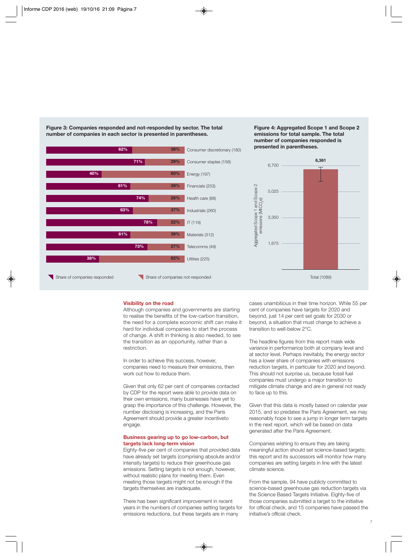

**Figure 3: Companies responded and not-responded by sector. The total number of companies in each sector is presented in parentheses.**





#### **Visibility on the road**

Although companies and governments are starting to realise the benefits of the low-carbon transition, the need for a complete economic shift can make it hard for individual companies to start the process of change. A shift in thinking is also needed, to see the transition as an opportunity, rather than a restriction.

In order to achieve this success, however, companies need to measure their emissions, then work out how to reduce them.

Given that only 62 per cent of companies contacted by CDP for the report were able to provide data on their own emissions, many businesses have yet to grasp the importance of this challenge. However, the number disclosing is increasing, and the Paris Agreement should provide a greater incentiveto engage.

#### **Business gearing up to go low-carbon, but targets lack long-term vision**

Eighty-five per cent of companies that provided data have already set targets (comprising absolute and/or intensity targets) to reduce their greenhouse gas emissions. Setting targets is not enough, however, without realistic plans for meeting them. Even meeting those targets might not be enough if the targets themselves are inadequate.

There has been significant improvement in recent years in the numbers of companies setting targets for emissions reductions, but these targets are in many

cases unambitious in their time horizon. While 55 per cent of companies have targets for 2020 and beyond, just 14 per cent set goals for 2030 or beyond, a situation that must change to achieve a transition to well-below 2°C.

The headline figures from this report mask wide variance in performance both at company level and at sector level. Perhaps inevitably, the energy sector has a lower share of companies with emissions reduction targets, in particular for 2020 and beyond. This should not surprise us, because fossil fuel companies must undergo a major transition to mitigate climate change and are in general not ready to face up to this.

Given that this data is mostly based on calendar year 2015, and so predates the Paris Agreement, we may reasonably hope to see a jump in longer term targets in the next report, which will be based on data generated after the Paris Agreement.

Companies wishing to ensure they are taking meaningful action should set science-based targets; this report and its successors will monitor how many companies are setting targets in line with the latest climate science.

From the sample, 94 have publicly committed to science-based greenhouse gas reduction targets via the Science Based Targets Initiative. Eighty-five of those companies submitted a target to the initiative for official check, and 15 companies have passed the initiative's official check.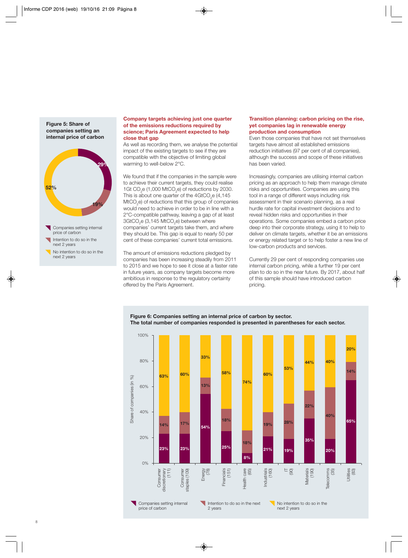**29% 52% 19%** Companies setting internal **internal price of carbon**

**Figure 5: Share of companies setting an**

price of carbon Intention to do so in the next 2 years

No intention to do so in the next 2 years

#### **Company targets achieving just one quarter of the emissions reductions required by science; Paris Agreement expected to help close that gap**

As well as recording them, we analyse the potential impact of the existing targets to see if they are compatible with the objective of limiting global warming to well-below 2°C.

We found that if the companies in the sample were to achieve their current targets, they could realise 1Gt CO<sub>2</sub>e (1,000 MtCO<sub>2</sub>e) of reductions by 2030. This is about one quarter of the 4GtCO<sub>2</sub>e (4,145) MtCO<sub>0</sub>e) of reductions that this group of companies would need to achieve in order to be in line with a 2°C-compatible pathway, leaving a gap of at least 3GtCO<sub>2</sub>e (3,145 MtCO<sub>2</sub>e) between where companies' current targets take them, and where they should be. This gap is equal to nearly 50 per cent of these companies' current total emissions.

The amount of emissions reductions pledged by companies has been increasing steadily from 2011 to 2015 and we hope to see it close at a faster rate in future years, as company targets become more ambitious in response to the regulatory certainty offered by the Paris Agreement.

#### **Transition planning: carbon pricing on the rise, yet companies lag in renewable energy production and consumption**

Even those companies that have not set themselves targets have almost all established emissions reduction initiatives (97 per cent of all companies), although the success and scope of these initiatives has been varied.

Increasingly, companies are utilising internal carbon pricing as an approach to help them manage climate risks and opportunities. Companies are using this tool in a range of different ways including risk assessment in their scenario planning, as a real hurdle rate for capital investment decisions and to reveal hidden risks and opportunities in their operations. Some companies embed a carbon price deep into their corporate strategy, using it to help to deliver on climate targets, whether it be an emissions or energy related target or to help foster a new line of low-carbon products and services.

Currently 29 per cent of responding companies use internal carbon pricing, while a further 19 per cent plan to do so in the near future. By 2017, about half of this sample should have introduced carbon pricing.

#### **Figure 6: Companies setting an internal price of carbon by sector. The total number of companies responded is presented in parentheses for each sector.**

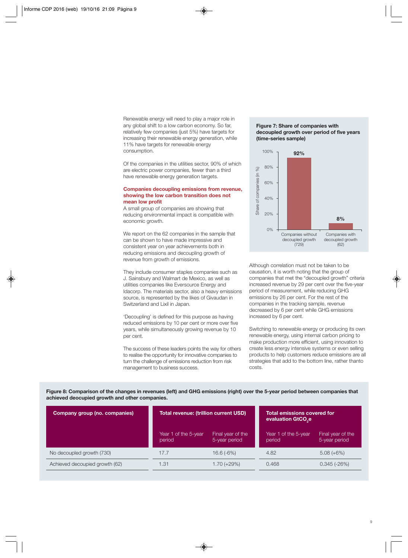Renewable energy will need to play a major role in any global shift to a low carbon economy. So far, relatively few companies (just 5%) have targets for increasing their renewable energy generation, while 11% have targets for renewable energy consumption.

Of the companies in the utilities sector, 90% of which are electric power companies, fewer than a third have renewable energy generation targets.

#### **Companies decoupling emissions from revenue, showing the low carbon transition does not mean low profit**

A small group of companies are showing that reducing environmental impact is compatible with economic growth.

We report on the 62 companies in the sample that can be shown to have made impressive and consistent year on year achievements both in reducing emissions and decoupling growth of revenue from growth of emissions.

They include consumer staples companies such as J. Sainsbury and Walmart de Mexico, as well as utilities companies like Eversource Energy and Idacorp. The materials sector, also a heavy emissions source, is represented by the likes of Givaudan in Switzerland and Lixil in Japan.

'Decoupling' is defined for this purpose as having reduced emissions by 10 per cent or more over five years, while simultaneously growing revenue by 10 per cent.

The success of these leaders points the way for others to realise the opportunity for innovative companies to turn the challenge of emissions reduction from risk management to business success.

#### **Figure 7: Share of companies with decoupled growth over period of five years (time-series sample)**



Although correlation must not be taken to be causation, it is worth noting that the group of companies that met the "decoupled growth" criteria increased revenue by 29 per cent over the five-year period of measurement, while reducing GHG emissions by 26 per cent. For the rest of the companies in the tracking sample, revenue decreased by 6 per cent while GHG emissions increased by 6 per cent.

Switching to renewable energy or producing its own renewable energy, using internal carbon pricing to make production more efficient, using innovation to create less energy intensive systems or even selling products to help customers reduce emissions are all strategies that add to the bottom line, rather thanto costs.

**Figure 8: Comparison of the changes in revenues (left) and GHG emissions (right) over the 5-year period between companies that achieved deocupied growth and other companies.**

| Company group (no. companies)  | Total revenue: (trillion current USD) |                                    | <b>Total emissions covered for</b><br>evaluation GtCO <sub>se</sub> |                                    |
|--------------------------------|---------------------------------------|------------------------------------|---------------------------------------------------------------------|------------------------------------|
|                                | Year 1 of the 5-year<br>period        | Final year of the<br>5-year period | Year 1 of the 5-year<br>period                                      | Final year of the<br>5-year period |
| No decoupled growth (730)      | 17.7                                  | $16.6(-6%)$                        | 4.82                                                                | $5.08 (+6%)$                       |
| Achieved decoupied growth (62) | 1.31                                  | $1.70 (+29%)$                      | 0.468                                                               | $0.345(-26%)$                      |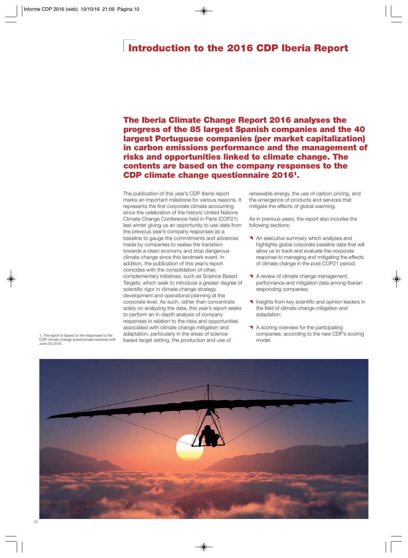## <span id="page-11-0"></span>**Introduction to the 2016 CDP Iberia Report**

**The Iberia Climate Change Report 2016 analyses the progress of the 85 largest Spanish companies and the 40 largest Portuguese companies (per market capitalization) in carbon emissions performance and the management of risks and opportunities linked to climate change. The contents are based on the company responses to the CDP climate change questionnaire 20161.**

The publication of this year's CDP Iberia report marks an important milestone for various reasons. It represents the first corporate climate accounting since the celebration of the historic United Nations Climate Change Conference held in Paris (COP21) last winter giving us an opportunity to use data from the previous year's company responses as a baseline to gauge the commitments and advances made by companies to realise the transition towards a clean economy and stop dangerous climate change since this landmark event. In addition, the publication of this year's report coincides with the consolidation of other, complementary initiatives, such as Science Based Targets, which seek to introduce a greater degree of scientific rigor in climate change strategy development and operational planning at the corporate level. As such, rather than concentrate solely on analyzing the data, this year's report seeks to perform an in-depth analysis of company responses in relation to the risks and opportunities associated with climate change mitigation and adaptation, particularly in the areas of science based target setting, the production and use of

renewable energy, the use of carbon pricing, and the emergence of products and services that mitigate the effects of global warming.

As in previous years, the report also includes the following sections:

- An executive summary which analyses and highlights global corporate baseline data that will allow us to track and evaluate the corporate response to managing and mitigating the effects of climate change in the post COP21 period;
- A review of climate change management, performance and mitigation data among Iberian responding companies;
- **Insights from key scientific and opinion leaders in** the field of climate change mitigation and adaptation;
- A scoring overview for the participating companies, according to the new CDP's scoring model.



1. The report is based on the responses to the CDP climate change questionnaire received until June 30 2016.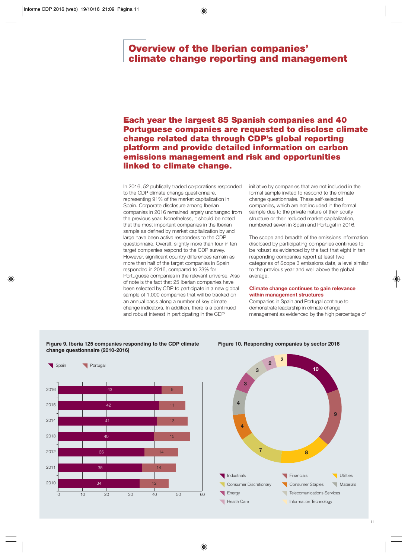### <span id="page-12-0"></span>**Overview of the Iberian companies' climate change reporting and management**

### **Each year the largest 85 Spanish companies and 40 Portuguese companies are requested to disclose climate change related data through CDP's global reporting platform and provide detailed information on carbon emissions management and risk and opportunities linked to climate change.**

In 2016, 52 publically traded corporations responded to the CDP climate change questionnaire, representing 91% of the market capitalization in Spain. Corporate disclosure among Iberian companies in 2016 remained largely unchanged from the previous year. Nonetheless, it should be noted that the most important companies in the Iberian sample as defined by market capitalization by and large have been active responders to the CDP questionnaire. Overall, slightly more than four in ten target companies respond to the CDP survey. However, significant country differences remain as more than half of the target companies in Spain responded in 2016, compared to 23% for Portuguese companies in the relevant universe. Also of note is the fact that 25 Iberian companies have been selected by CDP to participate in a new global sample of 1,000 companies that will be tracked on an annual basis along a number of key climate change indicators. In addition, there is a continued and robust interest in participating in the CDP

initiative by companies that are not included in the formal sample invited to respond to the climate change questionnaire. These self-selected companies, which are not included in the formal sample due to the private nature of their equity structure or their reduced market capitalization, numbered seven in Spain and Portugal in 2016.

The scope and breadth of the emissions information disclosed by participating companies continues to be robust as evidenced by the fact that eight in ten responding companies report at least two categories of Scope 3 emissions data, a level similar to the previous year and well above the global average.

#### **Climate change continues to gain relevance within management structures**

Companies in Spain and Portugal continue to demonstrate leadership in climate change management as evidenced by the high percentage of



**Figure 9. Iberia 125 companies responding to the CDP climate**



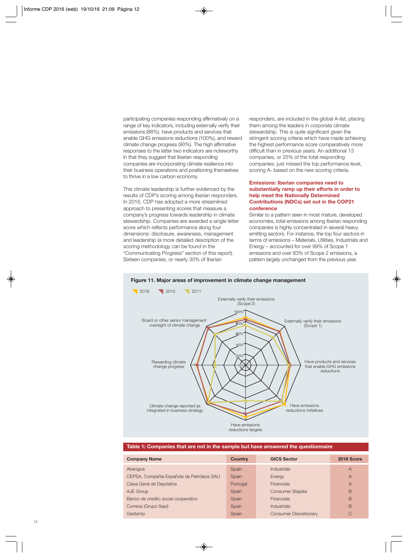participating companies responding affirmatively on a range of key indicators, including externally verify their emissions (88%), have products and services that enable GHG emissions reductions (100%), and reward climate change progress (90%). The high affirmative responses to the latter two indicators are noteworthy in that they suggest that Iberian responding companies are incorporating climate resilience into their business operations and positioning themselves to thrive in a low carbon economy.

This climate leadership is further evidenced by the results of CDP's scoring among Iberian responders. In 2016, CDP has adopted a more streamlined approach to presenting scores that measure a company's progress towards leadership in climate stewardship. Companies are awarded a single letter score which reflects performance along four dimensions: disclosure, awareness, management and leadership (a more detailed description of the scoring methodology can be found in the "Communicating Progress" section of this report). Sixteen companies, or nearly 30% of Iberian

responders, are included in the global A-list, placing them among the leaders in corporate climate stewardship. This is quite significant given the stringent scoring criteria which have made achieving the highest performance score comparatively more difficult than in previous years. An additional 13 companies, or 25% of the total responding companies, just missed the top performance level, scoring A- based on the new scoring criteria.

#### **Emissions: Iberian companies need to substantially ramp up their efforts in order to help meet the Nationally Determined Contributions (NDCs) set out in the COP21 conference**

Similar to a pattern seen in most mature, developed economies, total emissions among Iberian responding companies is highly concentrated in several heavy emitting sectors. For instance, the top four sectors in terms of emissions – Materials, Utilities, Industrials and Energy – accounted for over 99% of Scope 1 emissions and over 83% of Scope 2 emissions, a pattern largely unchanged from the previous year.



#### **Figure 11. Major areas of improvement in climate change management**

#### **Table 1: Companies that are not in the sample but have answered the questionnaire**

| <b>Company Name</b>                       | Country  | <b>GICS Sector</b>            | 2016 Score     |
|-------------------------------------------|----------|-------------------------------|----------------|
| Abengoa                                   | Spain    | <b>Industrials</b>            | $\overline{A}$ |
| CEPSA, Compañía Española de Petróleos SAU | Spain    | Energy                        | $\overline{A}$ |
| Caixa Geral de Depósitos                  | Portugal | <b>Financials</b>             | $\overline{A}$ |
| AJE Group                                 | Spain    | <b>Consumer Staples</b>       | B              |
| Banco de credito social cooperativo       | Spain    | <b>Financials</b>             | B              |
| Correos (Grupo Sepi)                      | Spain    | <b>Industrials</b>            | B              |
| Gestamp                                   | Spain    | <b>Consumer Discretionary</b> | C              |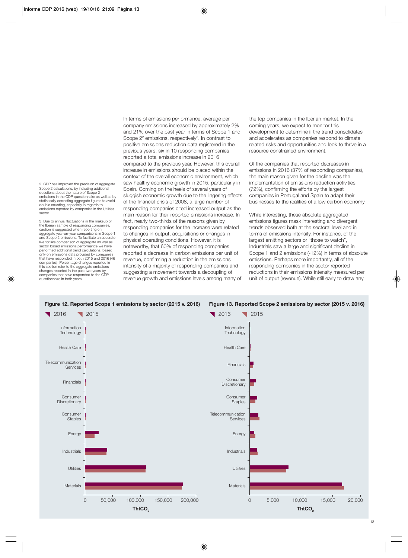2. CDP has improved the precision of aggregate Scope 2 calculations, by including additional questions about the nature of Scope 2 emissions in the CDP questionnaire as well as by statistically correcting aggregate figures to avoid double counting, especially in regards to emissions reported by companies in the Utilities sector.

3. Due to annual fluctuations in the makeup of the Iberian sample of responding companies, caution is suggested when reporting on aggregate year-on-year comparisons in Scope 1 and Scope 2 emissions. To facilitate an accurate like for like comparison of aggregate as well as sector based emissions performance we have performed additional trend calculations, based only on emissions data provided by companies that have responded in both 2015 and 2016 (46 companies). Percentage changes reported in this section refer to the aggregate emissions changes reported in the past two years by companies that have responded to the CDP questionnaire in both years.

In terms of emissions performance, average per company emissions increased by approximately 2% and 21% over the past year in terms of Scope 1 and Scope 2<sup>2</sup> emissions, respectively<sup>3</sup>. In contrast to positive emissions reduction data registered in the previous years, six in 10 responding companies reported a total emissions increase in 2016 compared to the previous year. However, this overall increase in emissions should be placed within the context of the overall economic environment, which saw healthy economic growth in 2015, particularly in Spain. Coming on the heels of several years of sluggish economic growth due to the lingering effects of the financial crisis of 2008, a large number of responding companies cited increased output as the main reason for their reported emissions increase. In fact, nearly two-thirds of the reasons given by responding companies for the increase were related to changes in output, acquisitions or changes in physical operating conditions. However, it is noteworthy, that 60% of responding companies reported a decrease in carbon emissions per unit of revenue, confirming a reduction in the emissions intensity of a majority of responding companies and suggesting a movement towards a decoupling of revenue growth and emissions levels among many of

the top companies in the Iberian market. In the coming years, we expect to monitor this development to determine if the trend consolidates and accelerates as companies respond to climate related risks and opportunities and look to thrive in a resource constrained environment.

Of the companies that reported decreases in emissions in 2016 (37% of responding companies), the main reason given for the decline was the implementation of emissions reduction activities (72%), confirming the efforts by the largest companies in Portugal and Spain to adapt their businesses to the realities of a low carbon economy.

While interesting, these absolute aggregated emissions figures mask interesting and divergent trends observed both at the sectoral level and in terms of emissions intensity. For instance, of the largest emitting sectors or "those to watch", Industrials saw a large and significant decline in Scope 1 and 2 emissions (-12%) in terms of absolute emissions. Perhaps more importantly, all of the responding companies in the sector reported reductions in their emissions intensity measured per unit of output (revenue). While still early to draw any

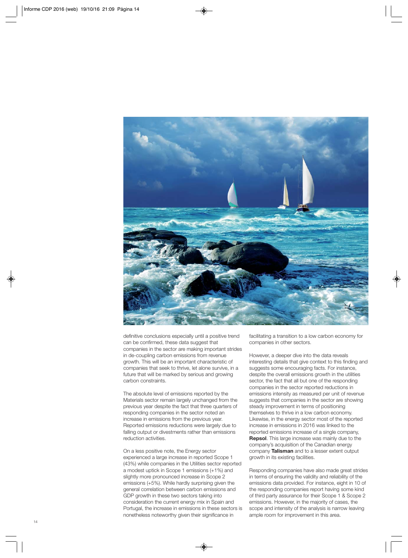

definitive conclusions especially until a positive trend can be confirmed, these data suggest that companies in the sector are making important strides in de-coupling carbon emissions from revenue growth. This will be an important characteristic of companies that seek to thrive, let alone survive, in a future that will be marked by serious and growing carbon constraints.

The absolute level of emissions reported by the Materials sector remain largely unchanged from the previous year despite the fact that three quarters of responding companies in the sector noted an increase in emissions from the previous year. Reported emissions reductions were largely due to falling output or divestments rather than emissions reduction activities.

On a less positive note, the Energy sector experienced a large increase in reported Scope 1 (43%) while companies in the Utilities sector reported a modest uptick in Scope 1 emissions (+1%) and slightly more pronounced increase in Scope 2 emissions (+5%). While hardly surprising given the general correlation between carbon emissions and GDP growth in these two sectors taking into consideration the current energy mix in Spain and Portugal, the increase in emissions in these sectors is nonetheless noteworthy given their significance in

facilitating a transition to a low carbon economy for companies in other sectors.

However, a deeper dive into the data reveals interesting details that give context to this finding and suggests some encouraging facts. For instance, despite the overall emissions growth in the utilities sector, the fact that all but one of the responding companies in the sector reported reductions in emissions intensity as measured per unit of revenue suggests that companies in the sector are showing steady improvement in terms of positioning themselves to thrive in a low carbon economy. Likewise, in the energy sector most of the reported increase in emissions in 2016 was linked to the reported emissions increase of a single company, **Repsol**. This large increase was mainly due to the company's acquisition of the Canadian energy company **Talisman** and to a lesser extent output growth in its existing facilities.

Responding companies have also made great strides in terms of ensuring the validity and reliability of the emissions data provided. For instance, eight in 10 of the responding companies report having some kind of third party assurance for their Scope 1 & Scope 2 emissions. However, in the majority of cases, the scope and intensity of the analysis is narrow leaving ample room for improvement in this area.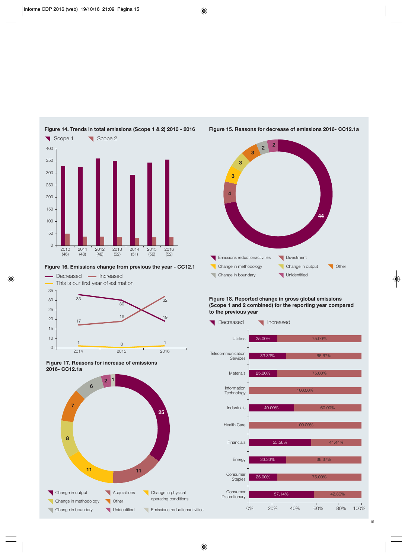

#### **Figure 16. Emissions change from previous the year - CC12.1**







#### **Figure 15. Reasons for decrease of emissions 2016- CC12.1a**



#### **Figure 18. Reported change in gross global emissions (Scope 1 and 2 combined) for the reporting year compared to the previous year**

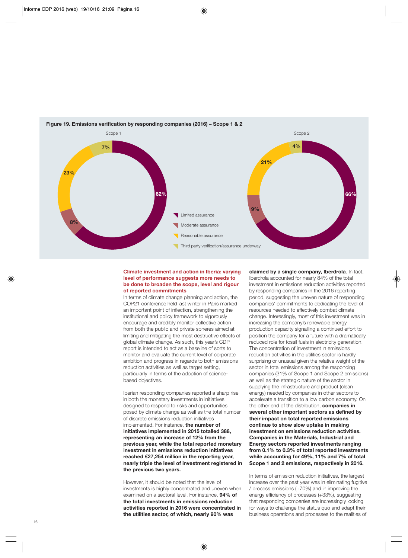

#### **Figure 19. Emissions verification by responding companies (2016) – Scope 1 & 2**

#### **Climate investment and action in Iberia: varying level of performance suggests more needs to be done to broaden the scope, level and rigour of reported commitments**

In terms of climate change planning and action, the COP21 conference held last winter in Paris marked an important point of inflection, strengthening the institutional and policy framework to vigorously encourage and credibly monitor collective action from both the public and private spheres aimed at limiting and mitigating the most destructive effects of global climate change. As such, this year's CDP report is intended to act as a baseline of sorts to monitor and evaluate the current level of corporate ambition and progress in regards to both emissions reduction activities as well as target setting, particularly in terms of the adoption of sciencebased objectives.

Iberian responding companies reported a sharp rise in both the monetary investments in initiatives designed to respond to risks and opportunities posed by climate change as well as the total number of discrete emissions reduction initiatives implemented. For instance, **the number of initiatives implemented in 2015 totalled 388, representing an increase of 12% from the previous year, while the total reported monetary investment in emissions reduction initiatives reached €27,254 million in the reporting year, nearly triple the level of investment registered in the previous two years.**

However, it should be noted that the level of investments is highly concentrated and uneven when examined on a sectoral level. For instance, **94% of the total investments in emissions reduction activities reported in 2016 were concentrated in the utilities sector, of which, nearly 90% was**

**claimed by a single company, Iberdrola**. In fact, Iberdrola accounted for nearly 84% of the total investment in emissions reduction activities reported by responding companies in the 2016 reporting period, suggesting the uneven nature of responding companies' commitments to dedicating the level of resources needed to effectively combat climate change. Interestingly, most of this investment was in increasing the company's renewable energy production capacity signalling a continued effort to position the company for a future with a dramatically reduced role for fossil fuels in electricity generation. The concentration of investment in emissions reduction activities in the utilities sector is hardly surprising or unusual given the relative weight of the sector in total emissions among the responding companies (31% of Scope 1 and Scope 2 emissions) as well as the strategic nature of the sector in supplying the infrastructure and product (clean energy) needed by companies in other sectors to accelerate a transition to a low carbon economy. On the other end of the distribution, **companies in several other important sectors as defined by their impact on total reported emissions continue to show slow uptake in making investment on emissions reduction activities. Companies in the Materials, Industrial and Energy sectors reported investments ranging from 0.1% to 0.3% of total reported investments while accounting for 49%, 11% and 7% of total Scope 1 and 2 emissions, respectively in 2016.**

In terms of emission reduction initiatives, the largest increase over the past year was in eliminating fugitive / process emissions (+70%) and in improving the energy efficiency of processes (+33%), suggesting that responding companies are increasingly looking for ways to challenge the status quo and adapt their business operations and processes to the realities of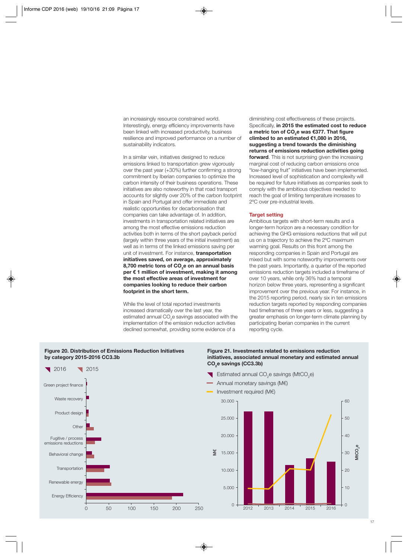an increasingly resource constrained world. Interestingly, energy efficiency improvements have been linked with increased productivity, business resilience and improved performance on a number of sustainability indicators.

In a similar vein, initiatives designed to reduce emissions linked to transportation grew vigorously over the past year (+30%) further confirming a strong commitment by Iberian companies to optimize the carbon intensity of their business operations. These initiatives are also noteworthy in that road transport accounts for slightly over 20% of the carbon footprint in Spain and Portugal and offer immediate and realistic opportunities for decarbonisation that companies can take advantage of. In addition, investments in transportation related initiatives are among the most effective emissions reduction activities both in terms of the short payback period (largely within three years of the initial investment) as well as in terms of the linked emissions saving per unit of investment. For instance, **transportation initiatives saved, on average, approximately** 8,700 metric tons of CO<sub>2</sub>e on an annual basis **per € 1 million of investment, making it among the most effective areas of investment for companies looking to reduce their carbon footprint in the short term.**

While the level of total reported investments increased dramatically over the last year, the estimated annual CO<sub>2</sub>e savings associated with the implementation of the emission reduction activities declined somewhat, providing some evidence of a

diminishing cost effectiveness of these projects. Specifically, **in 2015 the estimated cost to reduce a metric ton of CO<sub>2</sub>e was €377. That figure climbed to an estimated €1,080 in 2016, suggesting a trend towards the diminishing returns of emissions reduction activities going forward**. This is not surprising given the increasing marginal cost of reducing carbon emissions once "low-hanging fruit" initiatives have been implemented. Increased level of sophistication and complexity will be required for future initiatives as companies seek to comply with the ambitious objectives needed to reach the goal of limiting temperature increases to 2ºC over pre-industrial levels.

#### **Target setting**

Ambitious targets with short-term results and a longer-term horizon are a necessary condition for achieving the GHG emissions reductions that will put us on a trajectory to achieve the 2ºC maximum warming goal. Results on this front among the responding companies in Spain and Portugal are mixed but with some noteworthy improvements over the past years. Importantly, a quarter of the reported emissions reduction targets included a timeframe of over 10 years, while only 36% had a temporal horizon below three years, representing a significant improvement over the previous year. For instance, in the 2015 reporting period, nearly six in ten emissions reduction targets reported by responding companies had timeframes of three years or less, suggesting a greater emphasis on longer-term climate planning by participating Iberian companies in the current reporting cycle.



#### **Figure 20. Distribution of Emissions Reduction Initiatives by category 2015-2016 CC3.3b**

#### **Figure 21. Investments related to emissions reduction initiatives, associated annual monetary and estimated annual CO2e savings (CC3.3b)**

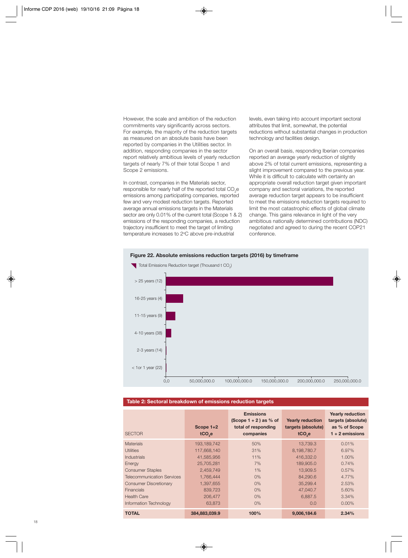However, the scale and ambition of the reduction commitments vary significantly across sectors. For example, the majority of the reduction targets as measured on an absolute basis have been reported by companies in the Utilities sector. In addition, responding companies in the sector report relatively ambitious levels of yearly reduction targets of nearly 7% of their total Scope 1 and Scope 2 emissions.

In contrast, companies in the Materials sector, responsible for nearly half of the reported total CO<sub>2</sub>e emissions among participating companies, reported few and very modest reduction targets. Reported average annual emissions targets in the Materials sector are only 0.01% of the current total (Scope 1 & 2) emissions of the responding companies, a reduction trajectory insufficient to meet the target of limiting temperature increases to 2°C above pre-industrial

levels, even taking into account important sectoral attributes that limit, somewhat, the potential reductions without substantial changes in production technology and facilities design.

On an overall basis, responding Iberian companies reported an average yearly reduction of slightly above 2% of total current emissions, representing a slight improvement compared to the previous year. While it is difficult to calculate with certainty an appropriate overall reduction target given important company and sectoral variations, the reported average reduction target appears to be insufficient to meet the emissions reduction targets required to limit the most catastrophic effects of global climate change. This gains relevance in light of the very ambitious nationally determined contributions (NDC) negotiated and agreed to during the recent COP21 conference.



### **Figure 22. Absolute emissions reduction targets (2016) by timeframe**

#### **Table 2: Sectoral breakdown of emissions reduction targets**

| <b>SECTOR</b>                     | Scope $1+2$<br>tCO <sub>2</sub> e | <b>Emissions</b><br>$(Scope 1 + 2)$ as % of<br>total of responding<br>companies | <b>Yearly reduction</b><br>targets (absolute)<br>tCO <sub>2</sub> e | <b>Yearly reduction</b><br>targets (absolute)<br>as % of Scope<br>$1 + 2$ emissions |
|-----------------------------------|-----------------------------------|---------------------------------------------------------------------------------|---------------------------------------------------------------------|-------------------------------------------------------------------------------------|
| <b>Materials</b>                  | 193.189.742                       | 50%                                                                             | 13.739.3                                                            | 0.01%                                                                               |
| <b>Utilities</b>                  | 117,668,140                       | 31%                                                                             | 8,198,780.7                                                         | 6.97%                                                                               |
| <b>Industrials</b>                | 41,585,956                        | 11%                                                                             | 416,332.0                                                           | 1.00%                                                                               |
| Energy                            | 25,705,281                        | 7%                                                                              | 189,905.0                                                           | 0.74%                                                                               |
| <b>Consumer Staples</b>           | 2,459,749                         | 1%                                                                              | 13,909.5                                                            | 0.57%                                                                               |
| <b>Telecommunication Services</b> | 1.766.444                         | 0%                                                                              | 84,290.6                                                            | 4.77%                                                                               |
| <b>Consumer Discretionary</b>     | 1,397,655                         | $0\%$                                                                           | 35.299.4                                                            | 2.53%                                                                               |
| <b>Financials</b>                 | 839,723                           | $0\%$                                                                           | 47.040.7                                                            | 5.60%                                                                               |
| <b>Health Care</b>                | 206,477                           | $0\%$                                                                           | 6,887.5                                                             | 3.34%                                                                               |
| Information Technology            | 63,873                            | $0\%$                                                                           | 0.0                                                                 | $0.00\%$                                                                            |
| <b>TOTAL</b>                      | 384.883.039.9                     | 100%                                                                            | 9.006.184.6                                                         | 2.34%                                                                               |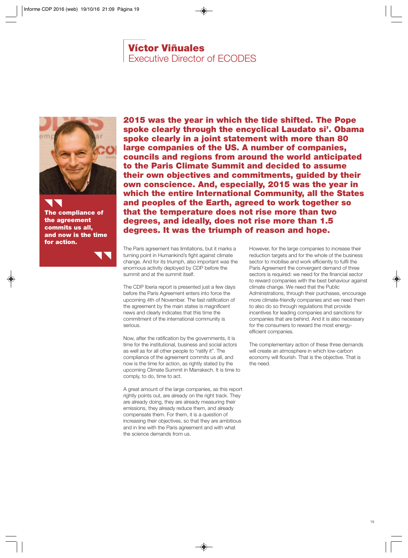## **Víctor Viñuales**

Executive Director of ECODES

<span id="page-20-0"></span>

**The compliance of the agreement commits us all, and now is the time for action.**

**2015 was the year in which the tide shifted. The Pope spoke clearly through the encyclical Laudato si'. Obama spoke clearly in a joint statement with more than 80 large companies of the US. A number of companies, councils and regions from around the world anticipated to the Paris Climate Summit and decided to assume their own objectives and commitments, guided by their own conscience. And, especially, 2015 was the year in which the entire International Community, all the States and peoples of the Earth, agreed to work together so that the temperature does not rise more than two degrees, and ideally, does not rise more than 1.5 degrees. It was the triumph of reason and hope.** 

The Paris agreement has limitations, but it marks a turning point in Humankind's fight against climate change. And for its triumph, also important was the enormous activity deployed by CDP before the summit and at the summit itself.

The CDP Iberia report is presented just a few days before the Paris Agreement enters into force the upcoming 4th of November. The fast ratification of the agreement by the main states is magnificent news and clearly indicates that this time the commitment of the international community is serious.

Now, after the ratification by the governments, it is time for the institutional, business and social actors as well as for all other people to "ratify it". The compliance of the agreement commits us all, and now is the time for action, as rightly stated by the upcoming Climate Summit in Marrakech. It is time to comply, to do, time to act.

A great amount of the large companies, as this report rightly points out, are already on the right track. They are already doing, they are already measuring their emissions, they already reduce them, and already compensate them. For them, it is a question of increasing their objectives, so that they are ambitious and in line with the Paris agreement and with what the science demands from us.

However, for the large companies to increase their reduction targets and for the whole of the business sector to mobilise and work efficiently to fulfil the Paris Agreement the convergent demand of three sectors is required: we need for the financial sector to reward companies with the best behaviour against climate change. We need that the Public Administrations, through their purchases, encourage more climate-friendly companies and we need them to also do so through regulations that provide incentives for leading companies and sanctions for companies that are behind. And it is also necessary for the consumers to reward the most energyefficient companies.

The complementary action of these three demands will create an atmosphere in which low-carbon economy will flourish. That is the objective. That is the need.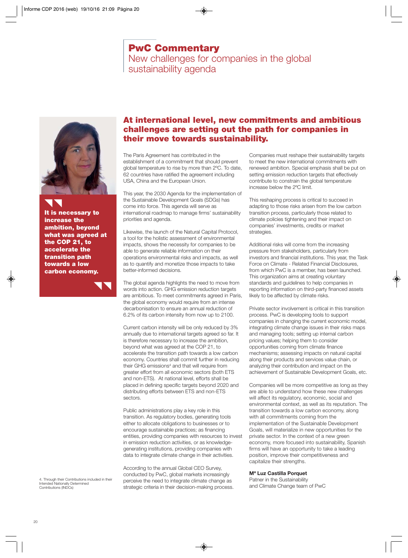## **PwC Commentary**

New challenges for companies in the global sustainability agenda

<span id="page-21-0"></span>

**It is necessary to increase the ambition, beyond what was agreed at the COP 21, to accelerate the transition path towards a low carbon economy.**

### **At international level, new commitments and ambitious challenges are setting out the path for companies in their move towards sustainability.**

The Paris Agreement has contributed in the establishment of a commitment that should prevent global temperature to rise by more than 2ºC. To date, 62 countries have ratified the agreement including USA, China and the European Union.

This year, the 2030 Agenda for the implementation of the Sustainable Development Goals (SDGs) has come into force. This agenda will serve as international roadmap to manage firms' sustainability priorities and agenda.

Likewise, the launch of the Natural Capital Protocol, a tool for the holistic assessment of environmental impacts, shows the necessity for companies to be able to generate reliable information on their operations environmental risks and impacts, as well as to quantify and monetize those impacts to take better-informed decisions.

The global agenda highlights the need to move from words into action. GHG emission reduction targets are ambitious. To meet commitments agreed in Paris, the global economy would require from an intense decarbonisation to ensure an annual reduction of 6.2% of its carbon intensity from now up to 2100.

Current carbon intensity will be only reduced by 3% annually due to international targets agreed so far. It is therefore necessary to increase the ambition, beyond what was agreed at the COP 21, to accelerate the transition path towards a low carbon economy. Countries shall commit further in reducing their GHG emissions<sup>4</sup> and that will require from greater effort from all economic sectors (both ETS and non-ETS). At national level, efforts shall be placed in defining specific targets beyond 2020 and distributing efforts between ETS and non-ETS sectors.

Public administrations play a key role in this transition. As regulatory bodies, generating tools either to allocate obligations to businesses or to encourage sustainable practices; as financing entities, providing companies with resources to invest in emission reduction activities, or as knowledgegenerating institutions, providing companies with data to integrate climate change in their activities.

According to the annual Global CEO Survey, conducted by PwC, global markets increasingly perceive the need to integrate climate change as strategic criteria in their decision-making process. Companies must reshape their sustainability targets to meet the new international commitments with renewed ambition. Special emphasis shall be put on setting emission reduction targets that effectively contribute to constrain the global temperature increase below the 2ºC limit.

This reshaping process is critical to succeed in adapting to those risks arisen from the low carbon transition process, particularly those related to climate policies tightening and their impact on companies' investments, credits or market strategies.

Additional risks will come from the increasing pressure from stakeholders, particularly from investors and financial institutions. This year, the Task Force on Climate - Related Financial Disclosures, from which PwC is a member, has been launched. This organization aims at creating voluntary standards and guidelines to help companies in reporting information on third-party financed assets likely to be affected by climate risks.

Private sector involvement is critical in this transition process. PwC is developing tools to support companies in changing the current economic model, integrating climate change issues in their risks maps and managing tools; setting up internal carbon pricing values; helping them to consider opportunities coming from climate finance mechanisms; assessing impacts on natural capital along their products and services value chain, or analyzing their contribution and impact on the achievement of Sustainable Development Goals, etc.

Companies will be more competitive as long as they are able to understand how these new challenges will affect its regulatory, economic, social and environmental context, as well as its reputation. The transition towards a low carbon economy, along with all commitments coming from the implementation of the Sustainable Development Goals, will materialize in new opportunities for the private sector. In the context of a new green economy, more focused into sustainability, Spanish firms will have an opportunity to take a leading position, improve their competitiveness and capitalize their strengths.

#### **Mª Luz Castilla Porquet**

Patner in the Sustainability and Climate Change team of PwC

4. Through their Contributions included in their Intended Nationally Determined Contributions (INDCs)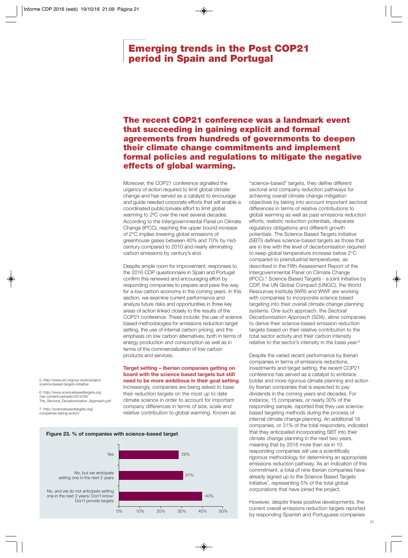### <span id="page-22-0"></span>**Emerging trends in the Post COP21 period in Spain and Portugal**

### **The recent COP21 conference was a landmark event that succeeding in gaining explicit and formal agreements from hundreds of governments to deepen their climate change commitments and implement formal policies and regulations to mitigate the negative effects of global warming.**

Moreover, the COP21 conference signalled the urgency of action required to limit global climate change and has served as a catalyst to encourage and guide needed corporate efforts that will enable a coordinated public/private effort to limit global warming to 2ºC over the next several decades. According to the Intergovernmental Panel on Climate Change (IPCC), reaching the upper bound increase of 2°C implies lowering global emissions of greenhouse gases between 40% and 70% by midcentury compared to 2010 and nearly eliminating carbon emissions by century's end.

Despite ample room for improvement, responses to the 2016 CDP questionnaire in Spain and Portugal confirm this renewed and encouraging effort by responding companies to prepare and pave the way for a low carbon economy in the coming years. In this section, we examine current performance and analyze future risks and opportunities in three key areas of action linked closely to the results of the COP21 conference. These include: the use of science based methodologies for emissions reduction target setting, the use of internal carbon pricing, and the emphasis on low carbon alternatives, both in terms of energy production and consumption as well as in terms of the commercialization of low carbon products and services.

#### **Target setting – Iberian companies getting on board with the science based targets but still need to be more ambitious in their goal setting**

Increasingly, companies are being asked to base their reduction targets on the most up to date climate science in order to account for important company differences in terms of size, scale and relative contribution to global warming. Known as



"science-based" targets, they define different sectoral and company reduction pathways for achieving overall climate change mitigation objectives by taking into account important sectoral differences in terms of relative contributions to global warming as well as past emissions reduction efforts, realistic reduction potentials, disparate regulatory obligations and different growth potentials. The Science Based Targets Initiative (SBTI) defines science-based targets as those that are in line with the level of decarbonisation required to keep global temperature increase below 2°C compared to preindustrial temperatures, as described in the Fifth Assessment Report of the Intergovernmental Panel on Climate Change (IPCC).5 Science Based Targets - a joint initiative by CDP, the UN Global Compact (UNGC), the World Resources Institute (WRI) and WWF are working with companies to incorporate science based targeting into their overall climate change planning systems. One such approach, the *Sectoral Decarbonisation Approach (SDA)*, allow companies to derive their science-based emission reduction targets based on their relative contribution to the total sector activity and their carbon intensity relative to the sector's intensity in the base year.<sup>6</sup>

Despite the varied recent performance by Iberian companies in terms of emissions reductions, investments and target setting, the recent COP21 conference has served as a catalyst to embrace bolder and more rigorous climate planning and action by Iberian companies that is expected to pay dividends in the coming years and decades. For instance, 15 companies, or nearly 30% of the responding sample, reported that they use sciencebased targeting methods during the process of internal climate change planning. An additional 16 companies, or 31% of the total responders, indicated that they anticipated incorporating SBT into their climate change planning in the next two years, meaning that by 2018 more than six in 10 responding companies will use a scientifically rigorous methodology for determining an appropriate emissions reduction pathway. As an indication of this commitment, a total of nine Iberian companies have already signed up to the Science Based Targets Initiative7, representing 5% of the total global corporations that have joined the project.

However, despite these positive developments, the current overall emissions reduction targets reported by responding Spanish and Portuguese companies

5. http://www.wri.org/our-work/project/ science-based-targets-initiative

6. http://www.sciencebasedtargets.org /wp-content/uploads/2014/09/ The\_Sectoral\_Decarbonization\_Approach.pdf

7. http://sciencebasedtargets.org/ companies-taking-action/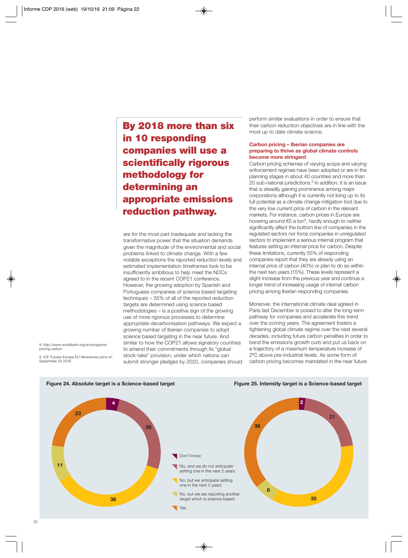**By 2018 more than six in 10 responding companies will use a scientifically rigorous methodology for determining an appropriate emissions reduction pathway.**

are for the most part inadequate and lacking the transformative power that the situation demands given the magnitude of the environmental and social problems linked to climate change. With a few notable exceptions the reported reduction levels and estimated implementation timeframes look to be insufficiently ambitious to help meet the NDCs agreed to in the recent COP21 conference. However, the growing adoption by Spanish and Portuguese companies of science based targeting techniques – 35% of all of the reported reduction targets are determined using science based methodologies – is a positive sign of the growing use of more rigorous processes to determine appropriate decarbonisation pathways. We expect a growing number of Iberian companies to adopt science based targeting in the near future. And similar to how the COP21 allows signatory countries to amend their commitments through its "global stock-take" provision, under which nations can submit stronger pledges by 2020, companies should perform similar evaluations in order to ensure that their carbon reduction objectives are in line with the most up to date climate science.

#### **Carbon pricing – Iberian companies are preparing to thrive as global climate controls become more stringent**

Carbon pricing schemes of varying scope and varying enforcement regimes have been adopted or are in the planning stages in about 40 countries and more than 20 sub-national jurisdictions.<sup>8</sup> In addition, it is an issue that is steadily gaining prominence among major corporations although it is currently not living up to its full potential as a climate change mitigation tool due to the very low current price of carbon in the relevant markets. For instance, carbon prices in Europe are hovering around €5 a ton<sup>9</sup>, hardly enough to neither significantly affect the bottom line of companies in the regulated sectors nor force companies in unregulated sectors to implement a serious internal program that features setting an internal price for carbon. Despite these limitations, currently 55% of responding companies report that they are already using an internal price of carbon (40%) or plan to do so within the next two years (15%). These levels represent a slight increase from the previous year and continue a longer trend of increasing usage of internal carbon pricing among Iberian responding companies.

Moreover, the international climate deal agreed in Paris last December is poised to alter the long-term pathway for companies and accelerate this trend over the coming years. The agreement fosters a tightening global climate regime over the next several decades, including future carbon penalties in order to bend the emissions growth curb and put us back on a trajectory of a maximum temperature increase of 2ºC above pre-industrial levels. As some form of carbon pricing becomes mandated in the near future

8. http://www.worldbank.org/en/programs/ pricing-carbon

9. ICE Futures Europe EU Allowances price on September 23 2016





**Figure 25. Intensity target is a Science-based target**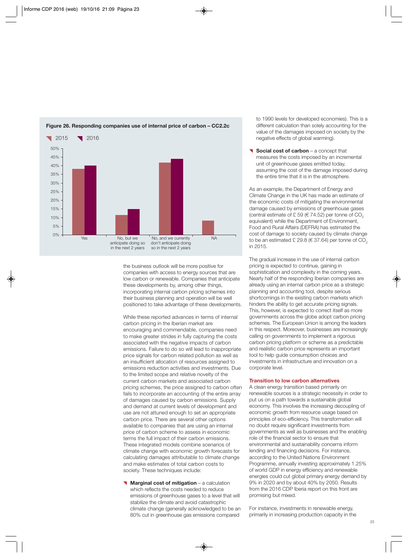

#### **Figure 26. Responding companies use of internal price of carbon – CC2.2c**

the business outlook will be more positive for companies with access to energy sources that are low carbon or renewable. Companies that anticipate these developments by, among other things, incorporating internal carbon pricing schemes into their business planning and operation will be well positioned to take advantage of these developments.

While these reported advances in terms of internal carbon pricing in the Iberian market are encouraging and commendable, companies need to make greater strides in fully capturing the costs associated with the negative impacts of carbon emissions. Failure to do so will lead to inappropriate price signals for carbon related pollution as well as an insufficient allocation of resources assigned to emissions reduction activities and investments. Due to the limited scope and relative novelty of the current carbon markets and associated carbon pricing schemes, the price assigned to carbon often fails to incorporate an accounting of the entire array of damages caused by carbon emissions. Supply and demand at current levels of development and use are not attuned enough to set an appropriate carbon price. There are several other options available to companies that are using an internal price of carbon scheme to assess in economic terms the full impact of their carbon emissions. These integrated models combine scenarios of climate change with economic growth forecasts for calculating damages attributable to climate change and make estimates of total carbon costs to society. These techniques include:

**Marginal cost of mitigation** – a calculation which reflects the costs needed to reduce emissions of greenhouse gases to a level that will stabilize the climate and avoid catastrophic climate change (generally acknowledged to be an 80% cut in greenhouse gas emissions compared

to 1990 levels for developed economies). This is a different calculation than solely accounting for the value of the damages imposed on society by the negative effects of global warming).

**Social cost of carbon** – a concept that measures the costs imposed by an incremental unit of greenhouse gases emitted today, assuming the cost of the damage imposed during the entire time that it is in the atmosphere.

As an example, the Department of Energy and Climate Change in the UK has made an estimate of the economic costs of mitigating the environmental damage caused by emissions of greenhouse gases (central estimate of  $£ 59$  ( $€ 74.52$ ) per tonne of  $CO<sub>2</sub>$ equivalent) while the Department of Environment, Food and Rural Affairs (DEFRA) has estimated the cost of damage to society caused by climate change to be an estimated £ 29.8 ( $\in$  37.64) per tonne of CO<sub>2</sub> in 2015.

The gradual increase in the use of internal carbon pricing is expected to continue, gaining in sophistication and complexity in the coming years. Nearly half of the responding Iberian companies are already using an internal carbon price as a strategic planning and accounting tool, despite serious shortcomings in the existing carbon markets which hinders the ability to get accurate pricing signals. This, however, is expected to correct itself as more governments across the globe adopt carbon pricing schemes. The European Union is among the leaders in this respect. Moreover, businesses are increasingly calling on governments to implement a rigorous carbon pricing platform or scheme as a predictable and realistic carbon price represents an important tool to help guide consumption choices and investments in infrastructure and innovation on a corporate level.

#### **Transition to low carbon alternatives**

A clean energy transition based primarily on renewable sources is a strategic necessity in order to put us on a path towards a sustainable global economy. This involves the increasing decoupling of economic growth from resource usage based on principles of eco-efficiency. This transformation will no doubt require significant investments from governments as well as businesses and the enabling role of the financial sector to ensure that environmental and sustainability concerns inform lending and financing decisions. For instance, according to the United Nations Environment Programme, annually investing approximately 1.25% of world GDP in energy efficiency and renewable energies could cut global primary energy demand by 9% in 2020 and by about 40% by 2050. Results from the 2016 CDP Iberia report on this front are promising but mixed.

For instance, investments in renewable energy, primarily in increasing production capacity in the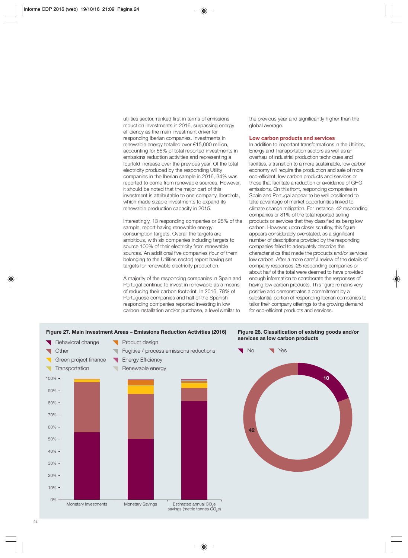utilities sector, ranked first in terms of emissions reduction investments in 2016, surpassing energy efficiency as the main investment driver for responding Iberian companies. Investments in renewable energy totalled over €15,000 million, accounting for 55% of total reported investments in emissions reduction activities and representing a fourfold increase over the previous year. Of the total electricity produced by the responding Utility companies in the Iberian sample in 2016, 34% was reported to come from renewable sources. However, it should be noted that the major part of this investment is attributable to one company, Iberdrola, which made sizable investments to expand its renewable production capacity in 2015.

Interestingly, 13 responding companies or 25% of the sample, report having renewable energy consumption targets. Overall the targets are ambitious, with six companies including targets to source 100% of their electricity from renewable sources. An additional five companies (four of them belonging to the Utilities sector) report having set targets for renewable electricity production.

A majority of the responding companies in Spain and Portugal continue to invest in renewable as a means of reducing their carbon footprint. In 2016, 78% of Portuguese companies and half of the Spanish responding companies reported investing in low carbon installation and/or purchase, a level similar to

the previous year and significantly higher than the global average.

#### **Low carbon products and services**

In addition to important transformations in the Utilities, Energy and Transportation sectors as well as an overhaul of industrial production techniques and facilities, a transition to a more sustainable, low carbon economy will require the production and sale of more eco-efficient, low carbon products and services or those that facilitate a reduction or avoidance of GHG emissions. On this front, responding companies in Spain and Portugal appear to be well positioned to take advantage of market opportunities linked to climate change mitigation. For instance, 42 responding companies or 81% of the total reported selling products or services that they classified as being low carbon. However, upon closer scrutiny, this figure appears considerably overstated, as a significant number of descriptions provided by the responding companies failed to adequately describe the characteristics that made the products and/or services low carbon. After a more careful review of the details of company responses, 25 responding companies or about half of the total were deemed to have provided enough information to corroborate the responses of having low carbon products. This figure remains very positive and demonstrates a commitment by a substantial portion of responding Iberian companies to tailor their company offerings to the growing demand for eco-efficient products and services.

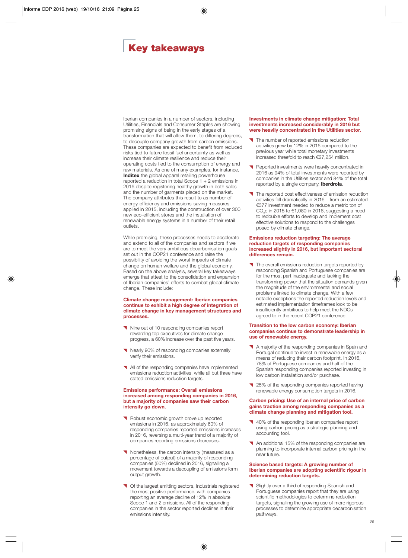## <span id="page-26-0"></span>**Key takeaways**

Iberian companies in a number of sectors, including Utilities, Financials and Consumer Staples are showing promising signs of being in the early stages of a transformation that will allow them, to differing degrees, to decouple company growth from carbon emissions. These companies are expected to benefit from reduced risks tied to future fossil fuel uncertainty as well as increase their climate resilience and reduce their operating costs tied to the consumption of energy and raw materials. As one of many examples, for instance, **Inditex** the global apparel retailing powerhouse reported a reduction in total Scope 1 + 2 emissions in 2016 despite registering healthy growth in both sales and the number of garments placed on the market. The company attributes this result to as number of energy-efficiency and emissions-saving measures applied in 2015, including the construction of over 300 new eco-efficient stores and the installation of renewable energy systems in a number of their retail outlets.

While promising, these processes needs to accelerate and extend to all of the companies and sectors if we are to meet the very ambitious decarbonisation goals set out in the COP21 conference and raise the possibility of avoiding the worst impacts of climate change on human welfare and the global economy. Based on the above analysis, several key takeaways emerge that attest to the consolidation and expansion of Iberian companies' efforts to combat global climate change. These include:

#### **Climate change management: Iberian companies continue to exhibit a high degree of integration of climate change in key management structures and processes.**

- Nine out of 10 responding companies report rewarding top executives for climate change progress, a 60% increase over the past five years.
- Nearly 90% of responding companies externally verify their emissions.
- All of the responding companies have implemented emissions reduction activities, while all but three have stated emissions reduction targets.

#### **Emissions performance: Overall emissions increased among responding companies in 2016, but a majority of companies saw their carbon intensity go down.**

- Robust economic growth drove up reported emissions in 2016, as approximately 60% of responding companies reported emissions increases in 2016, reversing a multi-year trend of a majority of companies reporting emissions decreases.
- Nonetheless, the carbon intensity (measured as a percentage of output) of a majority of responding companies (60%) declined in 2016, signalling a movement towards a decoupling of emissions form output growth.
- **T** Of the largest emitting sectors, Industrials registered the most positive performance, with companies reporting an average decline of 12% in absolute Scope 1 and 2 emissions. All of the responding companies in the sector reported declines in their emissions intensity.

#### **Investments in climate change mitigation: Total investments increased considerably in 2016 but were heavily concentrated in the Utilities sector.**

- The number of reported emissions reduction activities grew by 12% in 2016 compared to the previous year while total monetary investments increased threefold to reach €27,254 million.
- Reported investments were heavily concentrated in 2016 as 94% of total investments were reported by companies in the Utilities sector and 84% of the total reported by a single company, **Iberdrola**.
- The reported cost effectiveness of emission reduction activities fell dramatically in 2016 – from an estimated €377 investment needed to reduce a metric ton of CO<sub>2</sub>e in 2015 to  $€1,080$  in 2016, suggesting a need to redouble efforts to develop and implement cost effective solutions to respond to the challenges posed by climate change.

#### **Emissions reduction targeting: The average reduction targets of responding companies increased slightly in 2016, but important sectoral differences remain.**

The overall emissions reduction targets reported by responding Spanish and Portuguese companies are for the most part inadequate and lacking the transforming power that the situation demands given the magnitude of the environmental and social problems linked to climate change. With a few notable exceptions the reported reduction levels and estimated implementation timeframes look to be insufficiently ambitious to help meet the NDCs agreed to in the recent COP21 conference

#### **Transition to the low carbon economy: Iberian companies continue to demonstrate leadership in use of renewable energy.**

- A majority of the responding companies in Spain and Portugal continue to invest in renewable energy as a means of reducing their carbon footprint. In 2016, 78% of Portuguese companies and half of the Spanish responding companies reported investing in low carbon installation and/or purchase.
- 125% of the responding companies reported having renewable energy consumption targets in 2016.

#### **Carbon pricing: Use of an internal price of carbon gains traction among responding companies as a climate change planning and mitigation tool.**

- 140% of the responding Iberian companies report using carbon pricing as a strategic planning and accounting tool.
- An additional 15% of the responding companies are planning to incorporate internal carbon pricing in the near future.

#### **Science based targets: A growing number of Iberian companies are adopting scientific rigour in determining reduction targets.**

Slightly over a third of responding Spanish and Portuguese companies report that they are using scientific methodologies to determine reduction targets, signalling the growing use of more rigorous processes to determine appropriate decarbonisation pathways.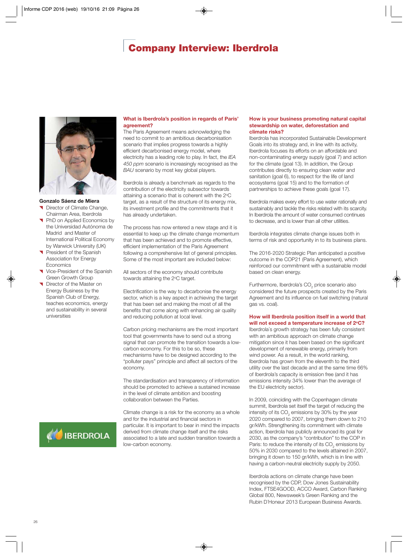## **Company Interview: Iberdrola**

<span id="page-27-0"></span>

#### **Gonzalo Sáenz de Miera**

- Director of Climate Change, Chairman Area, Iberdrola
- **PhD on Applied Economics by** the Universidad Autónoma de Madrid and Master of International Political Economy by Warwick University (UK)
- President of the Spanish Association for Energy Economics
- Vice-President of the Spanish Green Growth Group
- Director of the Master on Energy Business by the Spanish Club of Energy, teaches economics, energy and sustainability in several universities

#### **What is Iberdrola's position in regards of Paris' agreement?**

The Paris Agreement means acknowledging the need to commit to an ambitious decarbonisation scenario that implies progress towards a highly efficient decarbonised energy model, where electricity has a leading role to play. In fact, the *IEA 450 ppm* scenario is increasingly recognised as the *BAU* scenario by most key global players.

Iberdrola is already a benchmark as regards to the contribution of the electricity subsector towards attaining a scenario that is coherent with the 2°C target, as a result of the structure of its energy mix, its investment profile and the commitments that it has already undertaken.

The process has now entered a new stage and it is essential to keep up the climate change momentum that has been achieved and to promote effective, efficient implementation of the Paris Agreement following a comprehensive list of general principles. Some of the most important are included below:

All sectors of the economy should contribute towards attaining the 2°C target.

Electrification is the way to decarbonise the energy sector, which is a key aspect in achieving the target that has been set and making the most of all the benefits that come along with enhancing air quality and reducing pollution at local level.

Carbon pricing mechanisms are the most important tool that governments have to send out a strong signal that can promote the transition towards a lowcarbon economy. For this to be so, these mechanisms have to be designed according to the "polluter pays" principle and affect all sectors of the economy.

The standardisation and transparency of information should be promoted to achieve a sustained increase in the level of climate ambition and boosting collaboration between the Parties.

Climate change is a risk for the economy as a whole and for the industrial and financial sectors in particular. It is important to bear in mind the impacts derived from climate change itself and the risks associated to a late and sudden transition towards a low-carbon economy.

#### **How is your business promoting natural capital stewardship on water, deforestation and climate risks?**

Iberdrola has incorporated Sustainable Development Goals into its strategy and, in line with its activity, Iberdrola focuses its efforts on an affordable and non-contaminating energy supply (goal 7) and action for the climate (goal 13). In addition, the Group contributes directly to ensuring clean water and sanitation (goal 6), to respect for the life of land ecosystems (goal 15) and to the formation of partnerships to achieve these goals (goal 17).

Iberdrola makes every effort to use water rationally and sustainably and tackle the risks related with its scarcity. In Iberdrola the amount of water consumed continues to decrease, and is lower than all other utilities.

Iberdrola integrates climate change issues both in terms of risk and opportunity in to its business plans.

The 2016-2020 Strategic Plan anticipated a positive outcome in the COP21 (Paris Agreement), which reinforced our commitment with a sustainable model based on clean energy.

Furthermore, Iberdrola's CO<sub>2</sub> price scenario also considered the future prospects created by the Paris Agreement and its influence on fuel switching (natural gas vs. coal).

#### **How will Iberdrola position itself in a world that** will not exceed a temperature increase of 2°C?

Iberdrola´s growth strategy has been fully consistent with an ambitious approach on climate change mitigation since it has been based on the significant development of renewable energy, primarily from wind power. As a result, in the world ranking, Iberdrola has grown from the eleventh to the third utility over the last decade and at the same time 66% of Iberdrola's capacity is emission free (and it has emissions intensity 34% lower than the average of the EU electricity sector).

In 2009, coinciding with the Copenhagen climate summit, Iberdrola set itself the target of reducing the intensity of its CO<sub>2</sub> emissions by 30% by the year 2020 compared to 2007, bringing them down to 210 gr/kWh. Strengthening its commitment with climate action, Iberdrola has publicly announced its goal for 2030, as the company's "contribution" to the COP in Paris: to reduce the intensity of its CO<sub>2</sub> emissions by 50% in 2030 compared to the levels attained in 2007, bringing it down to 150 gr/kWh, which is in line with having a carbon-neutral electricity supply by 2050.

Iberdrola actions on climate change have been recognised by the CDP, Dow Jones Sustainability Index, FTSE4GOOD, ACCO Award, Carbon Ranking Global 800, Newsweek's Green Ranking and the Rubin D´Honeur 2013 European Business Awards.

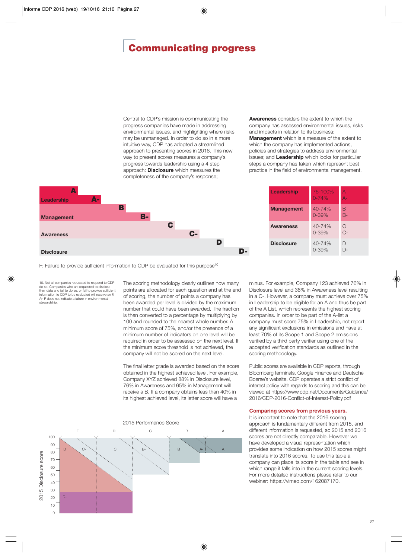## <span id="page-28-0"></span>**Communicating progress**

Central to CDP's mission is communicating the progress companies have made in addressing environmental issues, and highlighting where risks may be unmanaged. In order to do so in a more intuitive way, CDP has adopted a streamlined approach to presenting scores in 2016. This new way to present scores measures a company's progress towards leadership using a 4 step approach: **Disclosure** which measures the completeness of the company's response;

**Awareness** considers the extent to which the company has assessed environmental issues, risks and impacts in relation to its business; **Management** which is a measure of the extent to which the company has implemented actions, policies and strategies to address environmental issues; and **Leadership** which looks for particular steps a company has taken which represent best practice in the field of environmental management.



**Leadership** 75-100% 0-74% A A-Management 40-74% 0-39% B B-**Awareness** 40-74% 0-39% C C-**Disclosure** 40-74% 0-39%  $\Box$ D-

F: Failure to provide sufficient information to CDP be evaluated for this purpose<sup>10</sup>

10. Not all companies requested to respond to CDP do so. Companies who are requested to disclose their data and fail to do so, or fail to provide sufficient information to CDP to be evaluated will receive an F. An F does not indicate a failure in environmental stewardship.

The scoring methodology clearly outlines how many points are allocated for each question and at the end of scoring, the number of points a company has been awarded per level is divided by the maximum number that could have been awarded. The fraction is then converted to a percentage by multiplying by 100 and rounded to the nearest whole number. A minimum score of 75%, and/or the presence of a minimum number of indicators on one level will be required in order to be assessed on the next level. If the minimum score threshold is not achieved, the company will not be scored on the next level.

The final letter grade is awarded based on the score obtained in the highest achieved level. For example, Company XYZ achieved 88% in Disclosure level, 76% in Awareness and 65% in Management will receive a B. If a company obtains less than 40% in its highest achieved level, its letter score will have a



minus. For example, Company 123 achieved 76% in Disclosure level and 38% in Awareness level resulting in a C-. However, a company must achieve over 75% in Leadership to be eligible for an A and thus be part of the A List, which represents the highest scoring companies. In order to be part of the A-list a company must score 75% in Leadership, not report any significant exclusions in emissions and have at least 70% of its Scope 1 and Scope 2 emissions verified by a third party verifier using one of the accepted verification standards as outlined in the scoring methodology.

Public scores are available in CDP reports, through Bloomberg terminals, Google Finance and Deutsche Boerse's website. CDP operates a strict conflict of interest policy with regards to scoring and this can be viewed at https://www.cdp.net/Documents/Guidance/ 2016/CDP-2016-Conflict-of-Interest-Policy.pdf

### **Comparing scores from previous years.**

It is important to note that the 2016 scoring approach is fundamentally different from 2015, and different information is requested, so 2015 and 2016 scores are not directly comparable. However we have developed a visual representation which provides some indication on how 2015 scores might translate into 2016 scores. To use this table a company can place its score in the table and see in which range it falls into in the current scoring levels. For more detailed instructions please refer to our webinar: https://vimeo.com/162087170.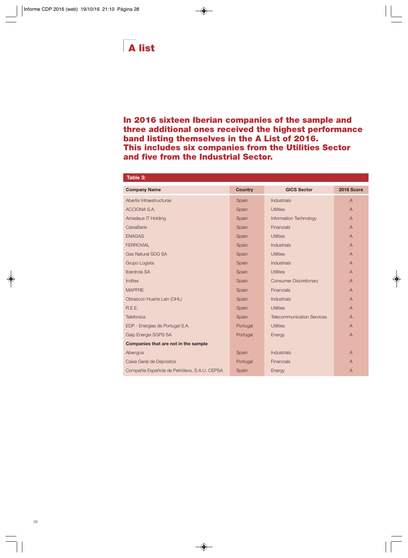<span id="page-29-0"></span>**In 2016 sixteen Iberian companies of the sample and three additional ones received the highest performance band listing themselves in the A List of 2016. This includes six companies from the Utilities Sector and five from the Industrial Sector.** 

| Table 3:                                     |                |                                   |                |
|----------------------------------------------|----------------|-----------------------------------|----------------|
| <b>Company Name</b>                          | <b>Country</b> | <b>GICS Sector</b>                | 2016 Score     |
| Abertis Infraestructuras                     | Spain          | <b>Industrials</b>                | $\overline{A}$ |
| ACCIONA S.A.                                 | Spain          | <b>Utilities</b>                  | $\overline{A}$ |
| <b>Amadeus IT Holding</b>                    | Spain          | Information Technology            | $\overline{A}$ |
| CaixaBank                                    | Spain          | <b>Financials</b>                 | $\overline{A}$ |
| <b>ENAGAS</b>                                | Spain          | <b>Utilities</b>                  | $\overline{A}$ |
| <b>FERROVIAL</b>                             | Spain          | <b>Industrials</b>                | $\overline{A}$ |
| <b>Gas Natural SDG SA</b>                    | Spain          | <b>Utilities</b>                  | $\overline{A}$ |
| Grupo Logista                                | Spain          | <b>Industrials</b>                | $\overline{A}$ |
| Iberdrola SA                                 | Spain          | <b>Utilities</b>                  | $\overline{A}$ |
| Inditex                                      | Spain          | <b>Consumer Discretionary</b>     | $\overline{A}$ |
| <b>MAPFRE</b>                                | Spain          | <b>Financials</b>                 | $\overline{A}$ |
| Obrascon Huarte Lain (OHL)                   | Spain          | <b>Industrials</b>                | $\overline{A}$ |
| R.E.E.                                       | Spain          | <b>Utilities</b>                  | $\overline{A}$ |
| Telefonica                                   | Spain          | <b>Telecommunication Services</b> | $\mathsf{A}$   |
| EDP - Energias de Portugal S.A.              | Portugal       | <b>Utilities</b>                  | $\overline{A}$ |
| Galp Energia SGPS SA                         | Portugal       | Energy                            | $\overline{A}$ |
| Companies that are not in the sample         |                |                                   |                |
| Abengoa                                      | Spain          | <b>Industrials</b>                | $\overline{A}$ |
| Caixa Geral de Depósitos                     | Portugal       | <b>Financials</b>                 | A              |
| Compañía Española de Petróleos, S.A.U. CEPSA | Spain          | Energy                            | $\overline{A}$ |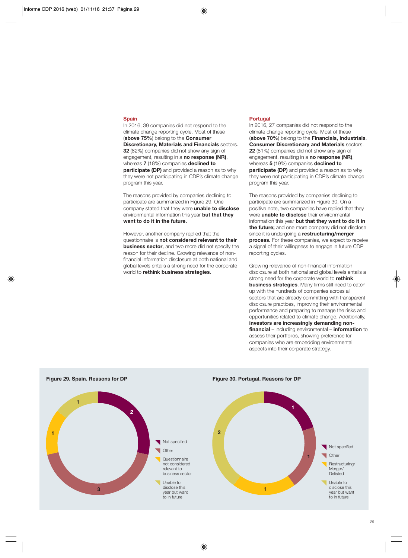#### **Spain**

In 2016, 39 companies did not respond to the climate change reporting cycle. Most of these (**above 75%**) belong to the **Consumer Discretionary, Materials and Financials** sectors. **32** (82%) companies did not show any sign of engagement, resulting in a **no response (NR)**, whereas **7** (18%) companies **declined to participate (DP)** and provided a reason as to why they were not participating in CDP's climate change program this year.

The reasons provided by companies declining to participate are summarized in Figure 29. One company stated that they were **unable to disclose** environmental information this year **but that they want to do it in the future.** 

However, another company replied that the questionnaire is **not considered relevant to their business sector**, and two more did not specify the reason for their decline. Growing relevance of nonfinancial information disclosure at both national and global levels entails a strong need for the corporate world to **rethink business strategies**.

#### **Portugal**

In 2016, 27 companies did not respond to the climate change reporting cycle. Most of these (**above 70%**) belong to the **Financials, Industrials**, **Consumer Discretionary and Materials** sectors. **22** (81%) companies did not show any sign of engagement, resulting in a **no response (NR)**, whereas **5** (19%) companies **declined to participate (DP)** and provided a reason as to why they were not participating in CDP's climate change program this year.

The reasons provided by companies declining to participate are summarized in Figure 30. On a positive note, two companies have replied that they were **unable to disclose** their environmental information this year **but that they want to do it in the future;** and one more company did not disclose since it is undergoing a **restructuring/merger process.** For these companies, we expect to receive a signal of their willingness to engage in future CDP reporting cycles.

Growing relevance of non-financial information disclosure at both national and global levels entails a strong need for the corporate world to **rethink business strategies**. Many firms still need to catch up with the hundreds of companies across all sectors that are already committing with transparent disclosure practices, improving their environmental performance and preparing to manage the risks and opportunities related to climate change. Additionally, **investors are increasingly demanding nonfinancial** – including environmental – **information** to assess their portfolios, showing preference for companies who are embedding environmental aspects into their corporate strategy.





**Figure 30. Portugal. Reasons for DP**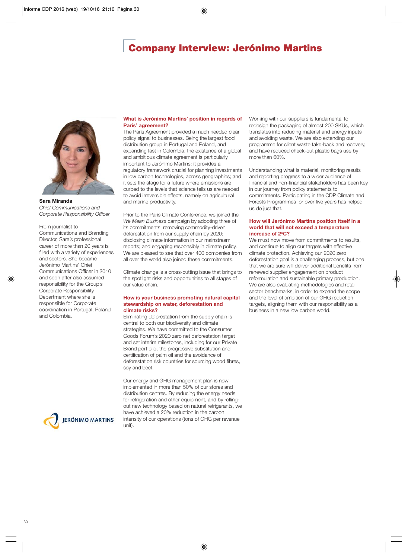## **Company Interview: Jerónimo Martins**

<span id="page-31-0"></span>

**Sara Miranda** *Chief Communications and Corporate Responsibility Officer*

#### From journalist to

Communications and Branding Director, Sara's professional career of more than 20 years is filled with a variety of experiences and sectors. She became Jerónimo Martins' Chief Communications Officer in 2010 and soon after also assumed responsibility for the Group's Corporate Responsibility Department where she is responsible for Corporate coordination in Portugal, Poland and Colombia.



#### **What is Jerónimo Martins' position in regards of Paris' agreement?**

The Paris Agreement provided a much needed clear policy signal to businesses. Being the largest food distribution group in Portugal and Poland, and expanding fast in Colombia, the existence of a global and ambitious climate agreement is particularly important to Jerónimo Martins: it provides a regulatory framework crucial for planning investments in low carbon technologies, across geographies; and it sets the stage for a future where emissions are curbed to the levels that science tells us are needed to avoid irreversible effects, namely on agricultural and marine productivity.

Prior to the Paris Climate Conference, we joined the *We Mean Business* campaign by adopting three of its commitments: removing commodity-driven deforestation from our supply chain by 2020; disclosing climate information in our mainstream reports; and engaging responsibly in climate policy. We are pleased to see that over 400 companies from all over the world also joined these commitments.

Climate change is a cross-cutting issue that brings to the spotlight risks and opportunities to all stages of our value chain.

#### **How is your business promoting natural capital stewardship on water, deforestation and climate risks?**

Eliminating deforestation from the supply chain is central to both our biodiversity and climate strategies. We have committed to the Consumer Goods Forum's 2020 zero net deforestation target and set interim milestones, including for our Private Brand portfolio, the progressive substitution and certification of palm oil and the avoidance of deforestation risk countries for sourcing wood fibres, soy and beef.

Our energy and GHG management plan is now implemented in more than 50% of our stores and distribution centres. By reducing the energy needs for refrigeration and other equipment, and by rollingout new technology based on natural refrigerants, we have achieved a 20% reduction in the carbon intensity of our operations (tons of GHG per revenue unit).

Working with our suppliers is fundamental to redesign the packaging of almost 200 SKUs, which translates into reducing material and energy inputs and avoiding waste. We are also extending our programme for client waste take-back and recovery, and have reduced check-out plastic bags use by more than 60%.

Understanding what is material, monitoring results and reporting progress to a wider audience of financial and non-financial stakeholders has been key in our journey from policy statements to commitments. Participating in the CDP Climate and Forests Programmes for over five years has helped us do just that.

#### **How will Jerónimo Martins position itself in a world that will not exceed a temperature increase of 2oC?**

We must now move from commitments to results, and continue to align our targets with effective climate protection. Achieving our 2020 zero deforestation goal is a challenging process, but one that we are sure will deliver additional benefits from renewed supplier engagement on product reformulation and sustainable primary production. We are also evaluating methodologies and retail sector benchmarks, in order to expand the scope and the level of ambition of our GHG reduction targets, aligning them with our responsibility as a business in a new low carbon world.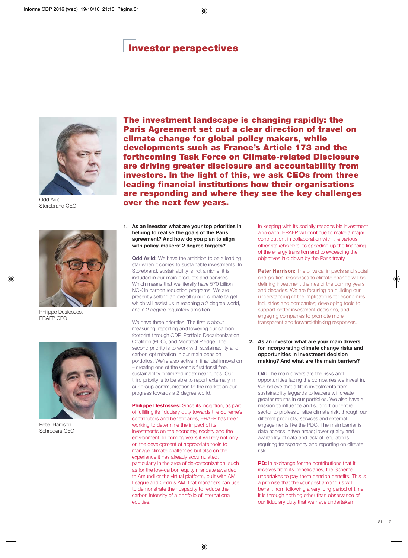## **Investor perspectives**

<span id="page-32-0"></span>

Odd Arild, Storebrand CEO



Philippe Desfosses, ERAFP CEO



Peter Harrison, Schroders CEO

**The investment landscape is changing rapidly: the Paris Agreement set out a clear direction of travel on climate change for global policy makers, while developments such as France's Article 173 and the forthcoming Task Force on Climate-related Disclosure are driving greater disclosure and accountability from investors. In the light of this, we ask CEOs from three leading financial institutions how their organisations are responding and where they see the key challenges over the next few years.**

**1. As an investor what are your top priorities in helping to realise the goals of the Paris agreement? And how do you plan to align with policy-makers' 2 degree targets?** 

**Odd Arild:** We have the ambition to be a leading star when it comes to sustainable investments. In Storebrand, sustainability is not a niche, it is included in our main products and services. Which means that we literally have 570 billion NOK in carbon reduction programs. We are presently setting an overall group climate target which will assist us in reaching a 2 degree world, and a 2 degree regulatory ambition.

We have three priorities. The first is about measuring, reporting and lowering our carbon footprint through CDP, Portfolio Decarbonization Coalition (PDC), and Montreal Pledge. The second priority is to work with sustainability and carbon optimization in our main pension portfolios. We're also active in financial innovation – creating one of the world's first fossil free, sustainability optimized index near funds. Our third priority is to be able to report externally in our group communication to the market on our progress towards a 2 degree world.

**Philippe Desfosses:** Since its inception, as part of fulfilling its fiduciary duty towards the Scheme's contributors and beneficiaries, ERAFP has been working to determine the impact of its investments on the economy, society and the environment. In coming years it will rely not only on the development of appropriate tools to manage climate challenges but also on the experience it has already accumulated, particularly in the area of de-carbonization, such as for the low-carbon equity mandate awarded to Amundi or the virtual platform, built with AM League and Cedrus AM, that managers can use to demonstrate their capacity to reduce the carbon intensity of a portfolio of international equities.

In keeping with its socially responsible investment approach, ERAFP will continue to make a major contribution, in collaboration with the various other stakeholders, to speeding up the financing of the energy transition and to exceeding the objectives laid down by the Paris treaty.

**Peter Harrison:** The physical impacts and social and political responses to climate change will be defining investment themes of the coming years and decades. We are focusing on building our understanding of the implications for economies, industries and companies; developing tools to support better investment decisions, and engaging companies to promote more transparent and forward-thinking responses.

#### **2. As an investor what are your main drivers for incorporating climate change risks and opportunities in investment decision making? And what are the main barriers?**

**OA:** The main drivers are the risks and opportunities facing the companies we invest in. We believe that a tilt in investments from sustainability laggards to leaders will create greater returns in our portfolios. We also have a mission to influence and support our entire sector to professionalize climate risk, through our different products, services and external engagements like the PDC. The main barrier is data access in two areas; lower quality and availability of data and lack of regulations requiring transparency and reporting on climate risk.

**PD:** In exchange for the contributions that it receives from its beneficiaries, the Scheme undertakes to pay them pension benefits. This is a promise that the youngest among us will benefit from following a very long period of time. It is through nothing other than observance of our fiduciary duty that we have undertaken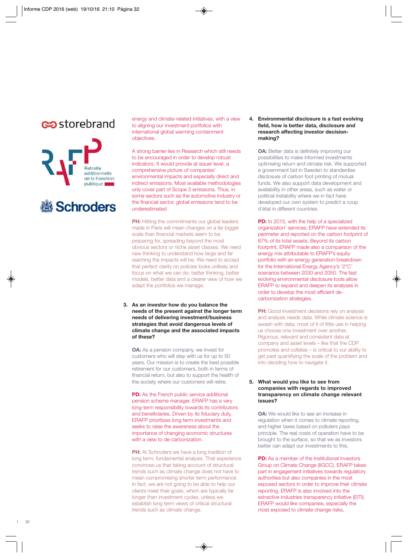## es storebrand



# Schroders

energy and climate-related initiatives, with a view to aligning our investment portfolios with international global warming containment objectives.

A strong barrier lies in Research which still needs to be encouraged in order to develop robust indicators. It would provide at issuer level, a comprehensive picture of companies' environmental impacts and especially direct and indirect emissions. Most available methodologies only cover part of Scope 3 emissions. Thus, in some sectors such as the automotive industry or the financial sector, global emissions tend to be underestimated

**PH:** Hitting the commitments our global leaders made in Paris will mean changes on a far bigger scale than financial markets seem to be preparing for, spreading beyond the most obvious sectors or niche asset classes. We need new thinking to understand how large and far reaching the impacts will be. We need to accept that perfect clarity on policies looks unlikely and focus on what we can do: better thinking, better models, better data and a clearer view of how we adapt the portfolios we manage.

**3. As an investor how do you balance the needs of the present against the longer term needs of delivering investment/business strategies that avoid dangerous levels of climate change and the associated impacts of these?**

**OA:** As a pension company, we invest for customers who will stay with us for up to 50 years. Our mission is to create the best possible retirement for our customers, both in terms of financial return, but also to support the health of the society where our customers will retire.

**PD:** As the French public service additional pension scheme manager, ERAFP has a very long-term responsibility towards its contributors and beneficiaries. Driven by its fiduciary duty, ERAFP prioritizes long term investments and seeks to raise the awareness about the importance of changing economic structures with a view to de-carbonization.

**PH:** At Schroders we have a long tradition of long term, fundamental analysis. That experience convinces us that taking account of structural trends such as climate change does not have to mean compromising shorter term performance. In fact, we are not going to be able to help our clients meet their goals, which are typically far longer than investment cycles, unless we establish long term views of critical structural trends such as climate change.

#### **4. Environmental disclosure is a fast evolving field, how is better data, disclosure and research affecting investor decisionmaking?**

**OA:** Better data is definitely improving our possibilities to make informed investments optimising return and climate risk. We supported a government bid in Sweden to standardise disclosure of carbon foot printing of mutual funds. We also support data development and availability in other areas, such as water or political instability where we in fact have developed our own system to predict a coup d'état in different countries.

**PD:** In 2015, with the help of a specialized organization' services, ERAFP have extended its perimeter and reported on the carbon footprint of 87% of its total assets. Beyond its carbon footprint, ERAFP made also a comparison of the energy mix attributable to ERAFP's equity portfolio with an energy generation breakdown for the International Energy Agency's '2°C' scenarios between 2030 and 2050. The fast evolving environmental disclosure tools allow ERAFP to expand and deepen its analyses in order to develop the most efficient decarbonization strategies.

**PH:** Good investment decisions rely on analysis and analysis needs data. While climate science is awash with data, most of it of little use in helping us choose one investment over another. Rigorous, relevant and consistent data at company and asset levels – like that the CDP promotes and collates – is critical to our ability to get past quantifying the scale of the problem and into deciding how to navigate it.

#### **5. What would you like to see from companies with regards to improved transparency on climate change relevant issues?**

**OA:** We would like to see an increase in regulation when it comes to climate reporting, and higher taxes based on polluters pays principle. The real costs of operation have to be brought to the surface, so that we as investors better can adapt our investments to this.

**PD:** As a member of the Institutional Investors Group on Climate Change (IIGCC), ERAFP takes part in engagement initiatives towards regulatory authorities but also companies in the most exposed sectors in order to improve their climate reporting. ERAFP is also involved into the extractive industries transparency initiative (EITI). ERAFP would like companies, especially the most exposed to climate change risks,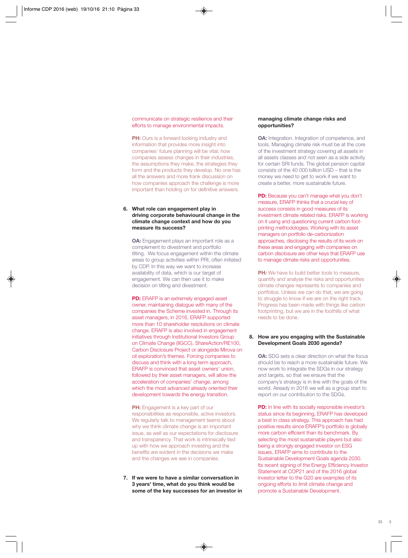communicate on strategic resilience and their efforts to manage environmental impacts.

**PH:** Ours is a forward looking industry and information that provides more insight into companies' future planning will be vital; how companies assess changes in their industries, the assumptions they make, the strategies they form and the products they develop. No one has all the answers and more frank discussion on how companies approach the challenge is more important than holding on for definitive answers.

#### **6. What role can engagement play in driving corporate behavioural change in the climate change context and how do you measure its success?**

**OA:** Engagement plays an important role as a complement to divestment and portfolio tilting. We focus engagement within the climate areas to group activities within PRI, often initiated by CDP. In this way we want to increase availability of data, which is our target of engagement. We can then use it to make decision on tilting and divestment.

**PD:** ERAFP is an extremely engaged asset owner, maintaining dialogue with many of the companies the Scheme invested in. Through its asset managers, in 2016, ERAFP supported more than 10 shareholder resolutions on climate change. ERAFP is also involved in engagement initiatives through Institutional Investors Group on Climate Change (IIGCC), ShareAction/RE100, Carbon Disclosure Project or alongside Mirova on oil exploration's themes. Forcing companies to discuss and think with a long term approach, ERAFP is convinced that asset owners' union, followed by their asset managers, will allow the acceleration of companies' change, among which the most advanced already oriented their development towards the energy transition.

**PH:** Engagement is a key part of our responsibilities as responsible, active investors. We regularly talk to management teams about why we think climate change is an important issue, as well as our expectations for disclosure and transparency. That work is intrinsically tied up with how we approach investing and the benefits are evident in the decisions we make and the changes we see in companies.

**7. If we were to have a similar conversation in 3 years' time, what do you think would be some of the key successes for an investor in**

#### **managing climate change risks and opportunities?**

**OA:** Integration. Integration of competence, and tools. Managing climate risk must be at the core of the investment strategy covering all assets in all assets classes and not seen as a side activity for certain SRI funds. The global pension capital consists of the 40 000 billion USD – that is the money we need to get to work if we want to create a better, more sustainable future.

**PD:** Because you can't manage what you don't measure, ERAFP thinks that a crucial key of success consists in good measures of its investment climate related risks. ERAFP is working on it using and questioning current carbon footprinting methodologies. Working with its asset managers on portfolio de-carbonization approaches, disclosing the results of its work on these areas and engaging with companies on carbon disclosure are other keys that ERAFP use to manage climate risks and opportunities.

**PH:** We have to build better tools to measure, quantify and analyse the risks and opportunities climate changes represents to companies and portfolios. Unless we can do that, we are going to struggle to know if we are on the right track. Progress has been made with things like carbon footprinting, but we are in the foothills of what needs to be done.

#### **8. How are you engaging with the Sustainable Development Goals 2030 agenda?**

**OA:** SDG sets a clear direction on what the focus should be to reach a more sustainable future. We now work to integrate the SDGs in our strategy and targets, so that we ensure that the company's strategy is in line with the goals of the world. Already in 2016 we will as a group start to report on our contribution to the SDGs.

**PD:** In line with its socially responsible investor's status since its beginning, ERAFP has developed a best in class strategy. This approach has had positive results since ERAFP's portfolio is globally more carbon efficient than its benchmark. By selecting the most sustainable players but also being a strongly engaged investor on ESG issues, ERAFP aims to contribute to the Sustainable Development Goals agenda 2030. Its recent signing of the Energy Efficiency Investor Statement at COP21 and of the 2016 global investor letter to the G20 are examples of its ongoing efforts to limit climate change and promote a Sustainable Development.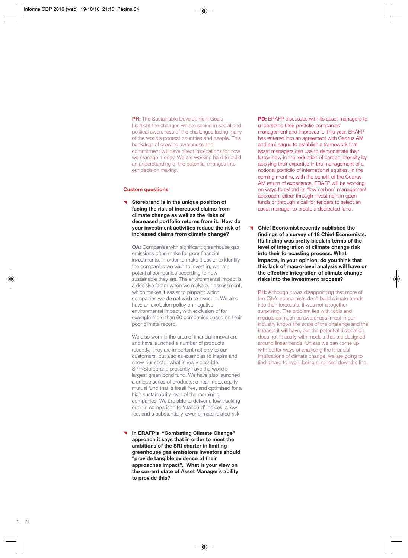**PH:** The Sustainable Development Goals highlight the changes we are seeing in social and political awareness of the challenges facing many of the world's poorest countries and people. This backdrop of growing awareness and commitment will have direct implications for how we manage money. We are working hard to build an understanding of the potential changes into our decision making.

#### **Custom questions**

**Storebrand is in the unique position of facing the risk of increased claims from climate change as well as the risks of decreased portfolio returns from it. How do your investment activities reduce the risk of increased claims from climate change?**

**OA:** Companies with significant greenhouse gas emissions often make for poor financial investments. In order to make it easier to identify the companies we wish to invest in, we rate potential companies according to how sustainable they are. The environmental impact is a decisive factor when we make our assessment, which makes it easier to pinpoint which companies we do not wish to invest in. We also have an exclusion policy on negative environmental impact, with exclusion of for example more than 60 companies based on their poor climate record.

We also work in the area of financial innovation, and have launched a number of products recently. They are important not only to our customers, but also as examples to inspire and show our sector what is really possible. SPP/Storebrand presently have the world's largest green bond fund. We have also launched a unique series of products: a near index equity mutual fund that is fossil free, and optimised for a high sustainability level of the remaining companies. We are able to deliver a low tracking error in comparison to 'standard' indices, a low fee, and a substantially lower climate related risk.

**In ERAFP's "Combating Climate Change" approach it says that in order to meet the ambitions of the SRI charter in limiting greenhouse gas emissions investors should "provide tangible evidence of their approaches impact". What is your view on the current state of Asset Manager's ability to provide this?**

**PD:** ERAFP discusses with its asset managers to understand their portfolio companies' management and improves it. This year, ERAFP has entered into an agreement with Cedrus AM and amLeague to establish a framework that asset managers can use to demonstrate their know-how in the reduction of carbon intensity by applying their expertise in the management of a notional portfolio of international equities. In the coming months, with the benefit of the Cedrus AM return of experience, ERAFP will be working on ways to extend its "low carbon" management approach, either through investment in open funds or through a call for tenders to select an asset manager to create a dedicated fund.

**Chief Economist recently published the findings of a survey of 18 Chief Economists. Its finding was pretty bleak in terms of the level of integration of climate change risk into their forecasting process. What impacts, in your opinion, do you think that this lack of macro-level analysis will have on the effective integration of climate change risks into the investment process?**

**PH:** Although it was disappointing that more of the City's economists don't build climate trends into their forecasts, it was not altogether surprising. The problem lies with tools and models as much as awareness; most in our industry knows the scale of the challenge and the impacts it will have, but the potential dislocation does not fit easily with models that are designed around linear trends. Unless we can come up with better ways of analysing the financial implications of climate change, we are going to find it hard to avoid being surprised downthe line.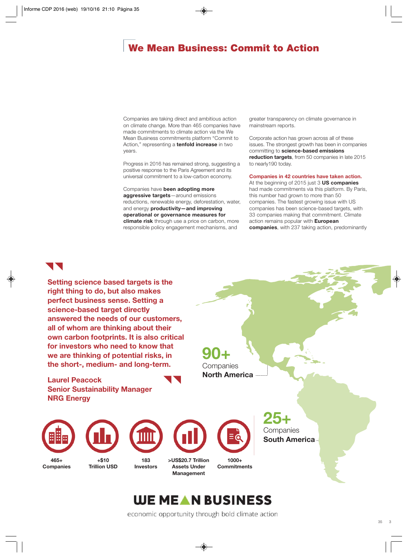## <span id="page-36-0"></span>**We Mean Business: Commit to Action**

Companies are taking direct and ambitious action on climate change. More than 465 companies have made commitments to climate action via the We Mean Business commitments platform "Commit to Action," representing a **tenfold increase** in two years.

Progress in 2016 has remained strong, suggesting a positive response to the Paris Agreement and its universal commitment to a low-carbon economy.

Companies have **been adopting more aggressive targets**—around emissions reductions, renewable energy, deforestation, water, and energy **productivity—and improving operational or governance measures for climate risk** through use a price on carbon, more responsible policy engagement mechanisms, and

greater transparency on climate governance in mainstream reports.

Corporate action has grown across all of these issues. The strongest growth has been in companies committing to **science-based emissions reduction targets**, from 50 companies in late 2015 to nearly190 today.

#### **Companies in 42 countries have taken action.**

At the beginning of 2015 just 3 **US companies** had made commitments via this platform. By Paris, this number had grown to more than 50 companies. The fastest growing issue with US companies has been science-based targets, with 33 companies making that commitment. Climate action remains popular with **European companies**, with 237 taking action, predominantly

## UNI

**Setting science based targets is the right thing to do, but also makes perfect business sense. Setting a science-based target directly answered the needs of our customers, all of whom are thinking about their own carbon footprints. It is also critical for investors who need to know that we are thinking of potential risks, in the short-, medium- and long-term.**

**Laurel Peacock Senior Sustainability Manager NRG Energy**

**90+** Companies **North America**

> **25+ Companies**

**South America**



# **WE MEAN BUSINESS**

economic opportunity through bold climate action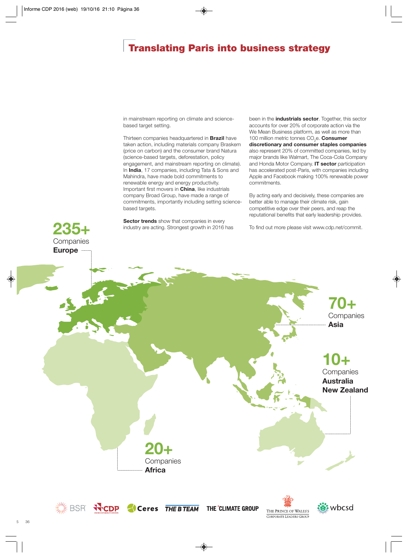## **Translating Paris into business strategy**

in mainstream reporting on climate and sciencebased target setting.

Thirteen companies headquartered in **Brazil** have taken action, including materials company Braskem (price on carbon) and the consumer brand Natura (science-based targets, deforestation, policy engagement, and mainstream reporting on climate). In **India**, 17 companies, including Tata & Sons and Mahindra, have made bold commitments to renewable energy and energy productivity. Important first movers in **China**, like industrials company Broad Group, have made a range of commitments, importantly including setting sciencebased targets.

**Sector trends** show that companies in every industry are acting. Strongest growth in 2016 has been in the **industrials sector**. Together, this sector accounts for over 20% of corporate action via the We Mean Business platform, as well as more than 100 million metric tonnes CO<sub>2</sub>e. **Consumer discretionary and consumer staples companies** also represent 20% of committed companies, led by major brands like Walmart, The Coca-Cola Company and Honda Motor Company. **IT sector** participation has accelerated post-Paris, with companies including Apple and Facebook making 100% renewable power commitments.

By acting early and decisively, these companies are better able to manage their climate risk, gain competitive edge over their peers, and reap the reputational benefits that early leadership provides.

To find out more please visit www.cdp.net/commit.



**235+**

**Companies**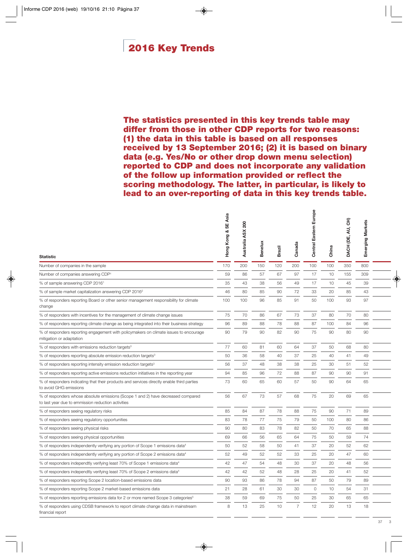## <span id="page-38-0"></span>**2016 Key Trends**

**The statistics presented in this key trends table may differ from those in other CDP reports for two reasons: (1) the data in this table is based on all responses received by 13 September 2016; (2) it is based on binary data (e.g. Yes/No or other drop down menu selection) reported to CDP and does not incorporate any validation of the follow up information provided or reflect the scoring methodology. The latter, in particular, is likely to lead to an over-reporting of data in this key trends table.**

| Hong Kong & SE Asia | 200<br>Australia ASX | <b>Benelux</b> | <b>Brazil</b> | Canada         | Europe<br><b>Central Eastern</b> | China | DACH (DE, AU, CH) | Emerging Markets |  |
|---------------------|----------------------|----------------|---------------|----------------|----------------------------------|-------|-------------------|------------------|--|
| 170                 | 200                  | 150            | 120           | 200            | 100                              | 100   | 350               | 800              |  |
| 59                  | 86                   | 57             | 67            | 97             | 17                               | 10    | 155               | 309              |  |
| 35                  | 43                   | 38             | 56            | 49             | 17                               | 10    | 45                | 39               |  |
| 46                  | 80                   | 85             | 90            | 72             | 33                               | 20    | 85                | 43               |  |
| 100                 | 100                  | 96             | 85            | 91             | 50                               | 100   | 93                | 97               |  |
| 75                  | 70                   | 86             | 67            | 73             | 37                               | 80    | 70                | 80               |  |
| 96                  | 89                   | 88             | 78            | 88             | 87                               | 100   | 84                | 96               |  |
| 90                  | 79                   | 90             | 82            | 90             | 75                               | 90    | 80                | 90               |  |
| 77                  | 60                   | 81             | 60            | 64             | 37                               | 50    | 68                | 80               |  |
| 50                  | 36                   | 58             | 40            | 37             | 25                               | 40    | 41                | 49               |  |
| 56                  | 37                   | 48             | 38            | 38             | 25                               | 30    | 51                | 52               |  |
| 94                  | 85                   | 96             | 72            | 88             | 87                               | 90    | 90                | 91               |  |
| 73                  | 60                   | 65             | 60            | 57             | 50                               | 90    | 64                | 65               |  |
| 56                  | 67                   | 73             | 57            | 68             | 75                               | 20    | 69                | 65               |  |
| 85                  | 84                   | 87             | 78            | 88             | 75                               | 90    | 71                | 89               |  |
| 83                  | 78                   | 77             | 75            | 79             | 50                               | 100   | 80                | 86               |  |
| 90                  | 80                   | 83             | 78            | 82             | 50                               | 70    | 65                | 88               |  |
| 69                  | 66                   | 56             | 65            | 64             | 75                               | 50    | 59                | 74               |  |
| 50                  | 52                   | 58             | 50            | 41             | 37                               | 20    | 52                | 62               |  |
| 52                  | 49                   | 52             | 52            | 33             | 25                               | 20    | 47                | 60               |  |
| 42                  | 47                   | 54             | 48            | 30             | 37                               | 20    | 48                | 56               |  |
| 42                  | 42                   | 52             | 48            | 28             | 25                               | 20    | 41                | 52               |  |
| 90                  | 93                   | 86             | 78            | 94             | 87                               | 50    | 79                | 89               |  |
| 21                  | 28                   | 61             | 30            | 30             | $\circ$                          | 10    | 54                | 31               |  |
| 38                  | 59                   | 69             | 75            | 50             | 25                               | 30    | 65                | 65               |  |
| 8                   | 13                   | 25             | 10            | $\overline{7}$ | 12                               | 20    | 13                | 18               |  |
|                     |                      |                |               |                |                                  |       |                   |                  |  |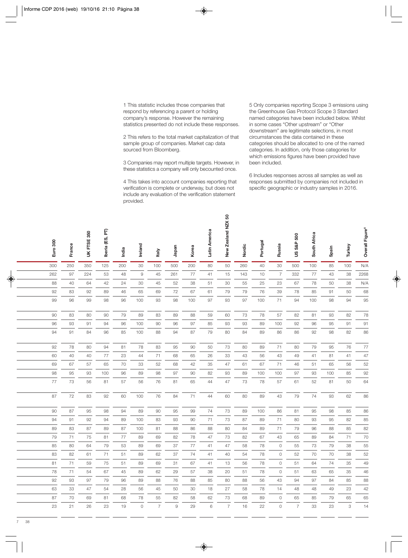1 This statistic includes those companies that respond by referencing a parent or holding company's response. However the remaining statistics presented do not include these responses.

2 This refers to the total market capitalization of that sample group of companies. Market cap data sourced from Bloomberg.

3 Companies may report multiple targets. However, in these statistics a company will only becounted once.

4 This takes into account companies reporting that verification is complete or underway, but does not include any evaluation of the verification statement provided.

5 Only companies reporting Scope 3 emissions using the Greenhouse Gas Protocol Scope 3 Standard named categories have been included below. Whilst in some cases "Other upstream" or "Other downstream" are legitimate selections, in most circumstances the data contained in these categories should be allocated to one of the named categories. In addition, only those categories for which emissions figures have been provided have been included.

6 Includes responses across all samples as well as responses submitted by companies not included in specific geographic or industry samples in 2016.

| Euro 300 | France | FTSE 350<br>š | Iberia (ES, PT) | India | Ireland                | taly           | Japan | Korea | Latin America | New Zealand NZX 50 | Nordic | Portugal | Russia         | 500<br>US S&P  | South Africa | Spain | Turkey | Overall Figure <sup>6</sup> |
|----------|--------|---------------|-----------------|-------|------------------------|----------------|-------|-------|---------------|--------------------|--------|----------|----------------|----------------|--------------|-------|--------|-----------------------------|
| 300      | 250    | 350           | 125             | 200   | 30                     | 100            | 500   | 200   | 80            | 50                 | 260    | 40       | 30             | 500            | 100          | 85    | 100    | N/A                         |
| 262      | 97     | 224           | 53              | 48    | $\mathrel{\mathsf{g}}$ | 45             | 261   | 77    | 41            | 15                 | 143    | 10       | $\overline{7}$ | 332            | 77           | 43    | 38     | 2268                        |
| 88       | 40     | 64            | 42              | 24    | 30                     | 45             | 52    | 38    | 51            | 30                 | 55     | 25       | 23             | 67             | 78           | 50    | 38     | N/A                         |
| 92       | 83     | 92            | 89              | 46    | 65                     | 69             | 72    | 67    | 61            | 79                 | 79     | 76       | 39             | 78             | 85           | 91    | 50     | 68                          |
| 99       | 96     | 99            | 98              | 96    | 100                    | 93             | 98    | 100   | 97            | 93                 | 97     | 100      | 71             | 94             | 100          | 98    | 94     | 95                          |
| 90       | 83     | 80            | 90              | 79    | 89                     | 83             | 89    | 88    | 59            | 60                 | 73     | 78       | 57             | 82             | 81           | 93    | 82     | 78                          |
| 96       | 93     | 91            | 94              | 96    | 100                    | 90             | 96    | 97    | 85            | 93                 | 93     | 89       | 100            | 92             | 96           | 95    | 91     | 91                          |
| 94       | 91     | 84            | 96              | 85    | 100                    | 88             | 94    | 87    | 79            | 80                 | 84     | 89       | 86             | 86             | 92           | 98    | 82     | 86                          |
| 92       | 78     | 80            | 94              | 81    | 78                     | 83             | 95    | 90    | 50            | 73                 | 80     | 89       | 71             | 80             | 79           | 95    | 76     | 77                          |
| 60       | 40     | 40            | 77              | 23    | 44                     | 71             | 68    | 65    | 26            | 33                 | 43     | 56       | 43             | 49             | 41           | 81    | 41     | 47                          |
| 69       | 67     | 57            | 65              | 70    | 33                     | 52             | 68    | 42    | 35            | 47                 | 61     | 67       | 71             | 46             | 51           | 65    | 56     | 52                          |
| 98       | 95     | 93            | 100             | 96    | 89                     | 98             | 97    | 90    | 82            | 93                 | 89     | 100      | 100            | 97             | 93           | 100   | 85     | 92                          |
| 77       | 73     | 56            | 81              | 57    | 56                     | 76             | 81    | 65    | 44            | 47                 | 73     | 78       | 57             | 61             | 52           | 81    | 50     | 64                          |
| 87       | 72     | 83            | 92              | 60    | 100                    | 76             | 84    | 71    | 44            | 60                 | 80     | 89       | 43             | 79             | 74           | 93    | 62     | 86                          |
| 90       | 87     | 95            | 98              | 94    | 89                     | 90             | 95    | 99    | 74            | 73                 | 89     | 100      | 86             | 81             | 95           | 98    | 85     | 86                          |
| 94       | 91     | 92            | 94              | 89    | 100                    | 83             | 93    | 90    | 71            | 73                 | 87     | 89       | 71             | 80             | 93           | 95    | 82     | 85                          |
| 89       | 83     | 87            | 89              | 87    | 100                    | 81             | 88    | 86    | 88            | 80                 | 84     | 89       | 71             | 79             | 96           | 88    | 85     | 82                          |
| 79       | 71     | 75            | 81              | 77    | 89                     | 69             | 82    | 78    | 47            | 73                 | 82     | 67       | 43             | 65             | 89           | 84    | 71     | 70                          |
| 85       | 80     | 64            | 79              | 53    | 89                     | 69             | 37    | 77    | 41            | 47                 | 58     | 78       | $\circ$        | 55             | 73           | 79    | 38     | 55                          |
| 83       | 82     | 61            | 71              | 51    | 89                     | 62             | 37    | 74    | 41            | 40                 | 54     | 78       | $\circ$        | 52             | 70           | 70    | 38     | 52                          |
| 81       | 71     | 59            | 75              | 51    | 89                     | 69             | 31    | 67    | 41            | 13                 | 56     | 78       | $\circ$        | 51             | 64           | 74    | 35     | 49                          |
| 78       | 71     | 54            | 67              | 45    | 89                     | 62             | 29    | 57    | 38            | 20                 | 51     | 78       | $\circ$        | 51             | 63           | 65    | 35     | 46                          |
| 92       | 93     | 97            | 79              | 96    | 89                     | 88             | 76    | 88    | 85            | 80                 | 88     | 56       | 43             | 94             | 97           | 84    | 85     | 88                          |
| 63       | 33     | 47            | 54              | 28    | 56                     | 45             | 50    | 30    | 18            | 27                 | 58     | 78       | 14             | 48             | 48           | 49    | 23     | 42                          |
| 87       | 70     | 69            | 81              | 68    | 78                     | 55             | 82    | 58    | 62            | 73                 | 68     | 89       | $\mathbf 0$    | 65             | 85           | 79    | 65     | 65                          |
| 23       | 21     | 26            | 23              | 19    | $\circ$                | $\overline{7}$ | 9     | 29    | 6             | $\overline{7}$     | 16     | 22       | $\overline{0}$ | $\overline{7}$ | 33           | 23    | 3      | 14                          |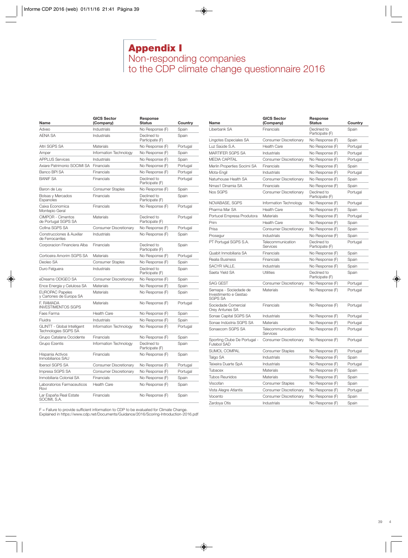## **Appendix I** Non-responding companies to the CDP climate change questionnaire 2016

<span id="page-40-0"></span>

| Name                                                | <b>GICS Sector</b><br>(Company) | Response<br><b>Status</b>      | Country  |
|-----------------------------------------------------|---------------------------------|--------------------------------|----------|
| Adveo                                               | Industrials                     | No Response (F)                | Spain    |
| <b>AFNA SA</b>                                      | Industrials                     | Declined to<br>Participate (F) | Spain    |
| Altri SGPS SA                                       | Materials                       | No Response (F)                | Portugal |
| Amper                                               | Information Technology          | No Response (F)                | Spain    |
| <b>APPLUS Services</b>                              | Industrials                     | No Response (F)                | Spain    |
| Axiare Patrimonio SOCIMI SA                         | Financials                      | No Response (F)                | Portugal |
| Banco BPI SA                                        | Financials                      | No Response (F)                | Portugal |
| <b>BANIF SA</b>                                     | Financials                      | Declined to<br>Participate (F) | Portugal |
| Baron de Ley                                        | <b>Consumer Staples</b>         | No Response (F)                | Spain    |
| Bolsas y Mercados<br>Espanoles                      | Financials                      | Declined to<br>Participate (F) | Spain    |
| Caixa Economica<br>Montepio Geral                   | Financials                      | No Response (F)                | Portugal |
| CIMPOR - Cimentos<br>de Portugal SGPS SA            | Materials                       | Declined to<br>Participate (F) | Portugal |
| Cofina SGPS SA                                      | <b>Consumer Discretionary</b>   | No Response (F)                | Portugal |
| Construcciones & Auxiliar<br>de Ferrocarriles       | Industrials                     | No Response (F)                | Spain    |
| Corporacion Financiera Alba                         | Financials                      | Declined to<br>Participate (F) | Spain    |
| Corticeira Amorim SGPS SA                           | Materials                       | No Response (F)                | Portugal |
| Deoleo SA                                           | <b>Consumer Staples</b>         | No Response (F)                | Spain    |
| Duro Felguera                                       | Industrials                     | Declined to<br>Participate (F) | Spain    |
| eDreams ODIGEO SA                                   | <b>Consumer Discretionary</b>   | No Response (F)                | Spain    |
| Ence Energia y Celulosa SA                          | Materials                       | No Response (F)                | Spain    |
| <b>EUROPAC Papeles</b><br>y Cartones de Europa SA   | Materials                       | No Response (F)                | Spain    |
| F. RAMADA<br><b>INVESTIMENTOS SGPS</b>              | Materials                       | No Response (F)                | Portugal |
| Faes Farma                                          | <b>Health Care</b>              | No Response (F)                | Spain    |
| Fluidra                                             | Industrials                     | No Response (F)                | Spain    |
| GLINTT - Global Intelligent<br>Technologies SGPS SA | Information Technology          | No Response (F)                | Portugal |
| Grupo Catalana Occidente                            | Financials                      | No Response (F)                | Spain    |
| Grupo Ezentis                                       | Information Technology          | Declined to<br>Participate (F) | Spain    |
| Hispania Activos<br>Inmobiliarios SAU               | Financials                      | No Response (F)                | Spain    |
| <b>Ibersol SGPS SA</b>                              | Consumer Discretionary          | No Response (F)                | Portugal |
| Impresa SGPS SA                                     | Consumer Discretionary          | No Response (F)                | Portugal |
| Inmobiliaria Colonial SA                            | Financials                      | No Response (F)                | Spain    |
| Laboratorios Farmaceuticos<br>Rovi                  | <b>Health Care</b>              | No Response (F)                | Spain    |
| Lar España Real Estate<br>SOCIMI, S.A.              | Financials                      | No Response (F)                | Spain    |

F = Failure to provide sufficient information to CDP to be evaluated for Climate Change. Explained in https://www.cdp.net/Documents/Guidance/2016/Scoring-Introduction-2016.pdf

| Name                                                             | <b>GICS Sector</b><br>(Company) | Response<br><b>Status</b>      | Country  |
|------------------------------------------------------------------|---------------------------------|--------------------------------|----------|
| Liberbank SA                                                     | Financials                      | Declined to<br>Participate (F) | Spain    |
| Lingotes Especiales SA                                           | Consumer Discretionary          | No Response (F)                | Spain    |
| Luz Saúde S.A.                                                   | <b>Health Care</b>              | No Response (F)                | Portugal |
| <b>MARTIFER SGPS SA</b>                                          | Industrials                     | No Response (F)                | Portugal |
| <b>MEDIA CAPITAL</b>                                             | <b>Consumer Discretionary</b>   | No Response (F)                | Portugal |
| Merlin Properties Socimi SA                                      | Financials                      | No Response (F)                | Spain    |
| Mota-Engil                                                       | Industrials                     | No Response (F)                | Portugal |
| Naturhouse Health SA                                             | Consumer Discretionary          | No Response (F)                | Spain    |
| Nmas1 Dinamia SA                                                 | Financials                      | No Response (F)                | Spain    |
| Nos SGPS                                                         | Consumer Discretionary          | Declined to<br>Participate (F) | Portugal |
| NOVABASE, SGPS                                                   | Information Technology          | No Response (F)                | Portugal |
| Pharma Mar SA                                                    | <b>Health Care</b>              | No Response (F)                | Spain    |
| Portucel Empresa Produtora                                       | Materials                       | No Response (F)                | Portugal |
| Prim                                                             | <b>Health Care</b>              | No Response (F)                | Spain    |
| Prisa                                                            | <b>Consumer Discretionary</b>   | No Response (F)                | Spain    |
| Prosegur                                                         | Industrials                     | No Response (F)                | Spain    |
| PT Portugal SGPS S.A.                                            | Telecommunication<br>Services   | Declined to<br>Participate (F) | Portugal |
| Quabit Inmobiliaria SA                                           | Financials                      | No Response (F)                | Spain    |
| Realia Business                                                  | Financials                      | No Response (F)                | Spain    |
| SACYR VALLE.                                                     | Industrials                     | No Response (F)                | Spain    |
| Saeta Yield SA                                                   | Utilities                       | Declined to<br>Participate (F) | Spain    |
| <b>SAG GEST</b>                                                  | Consumer Discretionary          | No Response (F)                | Portugal |
| Semapa - Sociedade de<br>Investimento e Gestao<br><b>SGPS SA</b> | Materials                       | No Response (F)                | Portugal |
| Sociedade Comercial<br><b>Orey Antunes SA</b>                    | Financials                      | No Response (F)                | Portugal |
| Sonae Capital SGPS SA                                            | Industrials                     | No Response (F)                | Portugal |
| Sonae Indústria SGPS SA                                          | Materials                       | No Response (F)                | Portugal |
| Sonaecom SGPS SA                                                 | Telecommunication<br>Services   | No Response (F)                | Portugal |
| Sporting Clube De Portugal -<br><b>Futebol SAD</b>               | <b>Consumer Discretionary</b>   | No Response (F)                | Portugal |
| SUMOL COMPAL                                                     | <b>Consumer Staples</b>         | No Response (F)                | Portugal |
| Talgo SA                                                         | Industrials                     | No Response (F)                | Spain    |
| Teixeira Duarte SpA                                              | Industrials                     | No Response (F)                | Portugal |
| Tubacex                                                          | Materials                       | No Response (F)                | Spain    |
| <b>Tubos Reunidos</b>                                            | Materials                       | No Response (F)                | Spain    |
| Viscofan                                                         | <b>Consumer Staples</b>         | No Response (F)                | Spain    |
| Vista Alegre Atlantis                                            | <b>Consumer Discretionary</b>   | No Response (F)                | Portugal |
| Vocento                                                          | Consumer Discretionary          | No Response (F)                | Spain    |
| Zardoya Otis                                                     | Industrials                     | No Response (F)                | Spain    |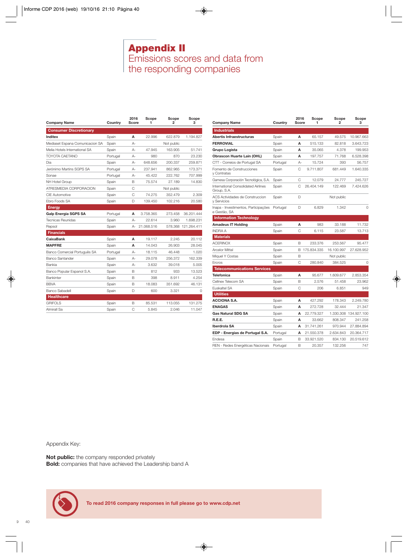## **Appendix II** Emissions scores and data from the responding companies

<span id="page-41-0"></span>

| <b>Company Name</b>             | Country  | 2016<br>Score | Scope<br>1 | Scope<br>2 | Scope<br>3          |
|---------------------------------|----------|---------------|------------|------------|---------------------|
| <b>Consumer Discretionary</b>   |          |               |            |            |                     |
| Inditex                         | Spain    | А             | 22.996     | 622.879    | 1.194.827           |
| Mediaset Espana Comunicacion SA | Spain    | А-            |            | Not public |                     |
| Melia Hotels International SA   | Spain    | $A -$         | 47.945     | 163.905    | 51.741              |
| TOYOTA CAFTANO                  | Portugal | А-            | 980        | 870        | 23.230              |
| Dia                             | Spain    | А-            | 648.656    | 200.337    | 259.871             |
| Jerónimo Martins SGPS SA        | Portugal | А-            | 237.941    | 862.965    | 173.371             |
| Sonae                           | Portugal | А-            | 45.422     | 222.762    | 707.999             |
| NH Hotel Group                  | Spain    | B             | 75.574     | 27.189     | 14.830              |
| ATRESMEDIA CORPORACION          | Spain    | C             |            | Not public |                     |
| <b>CIE Automotive</b>           | Spain    | C             | 74.275     | 352.479    | 2.309               |
| Ebro Foods SA                   | Spain    | D             | 139.450    | 102.216    | 20.580              |
| <b>Energy</b>                   |          |               |            |            |                     |
| Galp Energia SGPS SA            | Portugal | А             | 3.758.365  | 273.458    | 36.201.444          |
| <b>Tecnicas Reunidas</b>        | Spain    | $A -$         | 22.614     | 3.960      | 1.698.231           |
| Repsol                          | Spain    | А-            | 21.068.516 |            | 578.368 121.264.411 |
| <b>Financials</b>               |          |               |            |            |                     |
| <b>CaixaBank</b>                | Spain    | А             | 19.117     | 2.245      | 20.112              |
| <b>MAPFRE</b>                   | Spain    | А             | 14.043     | 26.903     | 28.045              |
| Banco Comercial Português SA    | Portugal | $A -$         | 18.115     | 46.448     | 1.020               |
| Banco Santander                 | Spain    | $A -$         | 29.078     | 256.372    | 162.339             |
| <b>Bankia</b>                   | Spain    | $A -$         | 3.632      | 39.018     | 5.005               |
| Banco Popular Espanol S.A.      | Spain    | B             | 812        | 933        | 13.523              |
| <b>Bankinter</b>                | Spain    | B             | 398        | 8.911      | 4.254               |
| <b>BBVA</b>                     | Spain    | B             | 18.083     | 351.692    | 46.131              |
| Banco Sabadell                  | Spain    | D             | 600        | 3.321      | O                   |
| <b>Healthcare</b>               |          |               |            |            |                     |
| <b>GRIFOLS</b>                  | Spain    | B             | 85.531     | 113.055    | 131.275             |
| Almirall Sa                     | Spain    | C             | 5.845      | 2.046      | 11.047              |

| <b>Company Name</b>                                  | Country  | 2016<br>Score  | Scope<br>1  | Scope<br>$\overline{2}$ | Scope<br>з  |
|------------------------------------------------------|----------|----------------|-------------|-------------------------|-------------|
| <b>Industrials</b>                                   |          |                |             |                         |             |
| Abertis Infraestructuras                             | Spain    | A              | 65.157      | 49.575                  | 10.967.663  |
| <b>FERROVIAL</b>                                     | Spain    | A              | 515.133     | 82.818                  | 3.643.723   |
| Grupo Logista                                        | Spain    | A              | 35.065      | 4.378                   | 199.953     |
| Obrascon Huarte Lain (OHL)                           | Spain    | А              | 197.757     | 71.768                  | 6.528.398   |
| CTT - Correios de Portugal SA                        | Portugal | А-             | 15.724      | 393                     | 56.757      |
| Fomento de Construcciones<br>y Contratas             | Spain    | C              | 9.711.807   | 681.449                 | 1.640.335   |
| Gamesa Corporación Tecnológica, S.A.                 | Spain    | C              | 12.079      | 24.777                  | 245.727     |
| International Consolidated Airlines<br>Group, S.A.   | Spain    | C              | 26,404.149  | 122.469                 | 7.424.626   |
| ACS Actividades de Construccion<br>y Servicios       | Spain    | D              |             | Not public              |             |
| Inapa - Investimentos, Participações<br>e Gestão, SA | Portugal | D              | 6.829       | 1.342                   | $\Omega$    |
| <b>Information Technology</b>                        |          |                |             |                         |             |
| <b>Amadeus IT Holding</b>                            | Spain    | A              | 983         | 33.188                  | 11.732      |
| <b>INDRA A</b>                                       | Spain    | $\overline{C}$ | 6.115       | 23.587                  | 13.713      |
| <b>Materials</b>                                     |          |                |             |                         |             |
| <b>ACERINOX</b>                                      | Spain    | B              | 233.376     | 253.567                 | 95.477      |
| <b>Arcelor Mittal</b>                                | Spain    | B              | 175.834.335 | 16.100.997              | 27.628.952  |
| Miquel Y Costas                                      | Spain    | B              |             | Not public              |             |
| Ercros                                               | Spain    | C              | 280.840     | 384.525                 | $\circ$     |
| <b>Telecommunications Services</b>                   |          |                |             |                         |             |
| <b>Telefonica</b>                                    | Spain    | A              | 95.677      | 1.609.677               | 2.853.354   |
| Cellnex Telecom SA                                   | Spain    | B              | 2.576       | 51.458                  | 23.962      |
| <b>Fuskaltel SA</b>                                  | Spain    | C              | 206         | 6.851                   | 949         |
| <b>Utilities</b>                                     |          |                |             |                         |             |
| <b>ACCIONA S.A.</b>                                  | Spain    | A              | 427.292     | 178.343                 | 2.249.780   |
| <b>ENAGAS</b>                                        | Spain    | A              | 272.728     | 32.444                  | 21.347      |
| <b>Gas Natural SDG SA</b>                            | Spain    | А              | 22.779.327  | 1.330.308               | 134.927.100 |
| R.E.E.                                               | Spain    | A              | 33.662      | 808.347                 | 241.258     |
| Iberdrola SA                                         | Spain    | А              | 31.741.261  | 970.944                 | 27.884.894  |
| EDP - Energias de Portugal S.A.                      | Portugal | A              | 21.550.378  | 2.634.843               | 20.364.717  |
| Fndesa                                               | Spain    | B              | 33.921.520  | 834.130                 | 20.519.612  |
| REN - Redes Energéticas Nacionais                    | Portugal | B              | 20.357      | 132.256                 | 747         |

Appendix Key:

**Not public:** the company responded privately **Bold:** companies that have achieved the Leadership band A

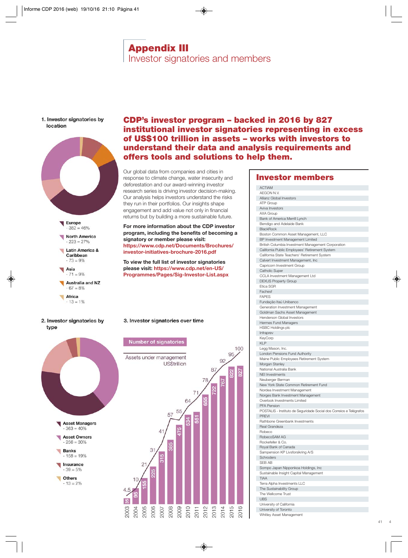## **Appendix III** Investor signatories and members

#### <span id="page-42-0"></span>1. Investor signatories by location



### **CDP's investor program – backed in 2016 by 827 institutional investor signatories representing in excess of US\$100 trillion in assets – works with investors to understand their data and analysis requirements and offers tools and solutions to help them.**

Our global data from companies and cities in response to climate change, water insecurity and deforestation and our award-winning investor research series is driving investor decision-making. Our analysis helps investors understand the risks they run in their portfolios. Our insights shape engagement and add value not only in financial returns but by building a more sustainable future.

**For more information about the CDP investor program, including the benefits of becoming a signatory or member please visit: https://www.cdp.net/Documents/Brochures/ investor-initiatives-brochure-2016.pdf**

**To view the full list of investor signatories please visit: https://www.cdp.net/en-US/ Programmes/Pages/Sig-Investor-List.aspx**

### 3. Investor signatories over time

### **Number of signatories**



### **Investor members**

| ACTIAM                                                              |
|---------------------------------------------------------------------|
| AEGON N.V.                                                          |
| Allianz Global Investors                                            |
| ATP Group                                                           |
| Aviva Investors                                                     |
| <b>AXA Group</b>                                                    |
|                                                                     |
| Bank of America Merrill Lynch                                       |
| Bendigo and Adelaide Bank                                           |
| <b>BlackRock</b>                                                    |
| Boston Common Asset Management, LLC                                 |
| BP Investment Management Limited                                    |
| British Columbia Investment Management Corporation                  |
| California Public Employees' Retirement System                      |
| California State Teachers' Retirement System                        |
| Calvert Investment Management, Inc                                  |
| Capricorn Investment Group                                          |
| <b>Catholic Super</b>                                               |
| CCLA Investment Management Ltd                                      |
| <b>DEXUS Property Group</b>                                         |
| Etica SGR                                                           |
|                                                                     |
| Fachesf                                                             |
| <b>FAPES</b>                                                        |
| Fundação Itaú Unibanco                                              |
| Generation Investment Management                                    |
| Goldman Sachs Asset Management                                      |
| Henderson Global Investors                                          |
| Hermes Fund Managers                                                |
| HSBC Holdings plc                                                   |
| Infraprev                                                           |
| KeyCorp                                                             |
| <b>KLP</b>                                                          |
| Legg Mason, Inc.                                                    |
| London Pensions Fund Authority                                      |
| Maine Public Employees Retirement System                            |
| Morgan Stanley                                                      |
| National Australia Bank                                             |
| <b>NEI Investments</b>                                              |
| Neuberger Berman                                                    |
| New York State Common Retirement Fund                               |
|                                                                     |
| Nordea Investment Management                                        |
| Norges Bank Investment Management                                   |
| Overlook Investments Limited                                        |
| <b>PFA Pension</b>                                                  |
| POSTALIS - Instituto de Seguridade Social dos Correios e Telégrafos |
| <b>PREVI</b>                                                        |
| Rathbone Greenbank Investments                                      |
| Real Grandeza                                                       |
| Robeco                                                              |
| RobecoSAM AG                                                        |
| Rockefeller & Co.                                                   |
| Royal Bank of Canada                                                |
| Sampension KP Livsforsikring A/S                                    |
| Schroders                                                           |
| <b>SEB AB</b>                                                       |
| Sompo Japan Nipponkoa Holdings, Inc                                 |
| Sustainable Insight Capital Management                              |
|                                                                     |
|                                                                     |
| <b>TIAA</b>                                                         |
| Terra Alpha Investments LLC                                         |
| The Sustainability Group                                            |
| The Wellcome Trust                                                  |
| <b>UBS</b>                                                          |
| University of California                                            |
| University of Toronto                                               |
| Whitley Asset Management                                            |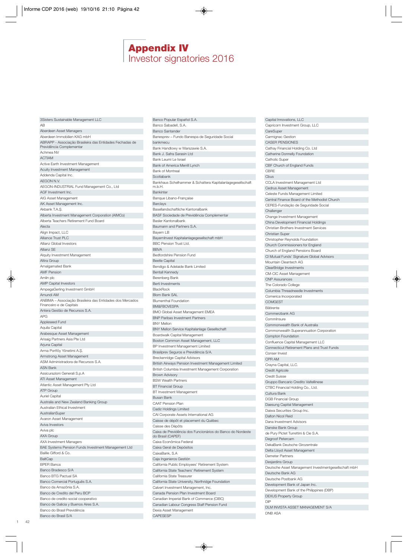## **Appendix IV** Investor signatories 2016

<span id="page-43-0"></span>

| 3Sisters Sustainable Management LLC                                                  |
|--------------------------------------------------------------------------------------|
| AВ                                                                                   |
| Aberdeen Asset Managers<br>Aberdeen Immobilien KAG mbH                               |
| ABRAPP - Associação Brasileira das Entidades Fechadas de<br>Previdência Complementar |
| Achmea NV                                                                            |
| <b>ACTIAM</b>                                                                        |
| Active Earth Investment Management                                                   |
| Acuity Investment Management                                                         |
| Addenda Capital Inc.<br>AEGON N.V.                                                   |
| AEGON-INDUSTRIAL Fund Management Co., Ltd                                            |
| AGF Investment Inc.                                                                  |
| AIG Asset Management                                                                 |
| AK Asset Management Inc.                                                             |
| Akbank T.A.Ş.                                                                        |
| Alberta Investment Management Corporation (AIMCo)                                    |
| Alberta Teachers Retirement Fund Board                                               |
| Alecta                                                                               |
| Align Impact, LLC                                                                    |
| Alliance Trust PLC                                                                   |
| Allianz Global Investors                                                             |
| Allianz SE                                                                           |
| Alquity Investment Management<br>Altira Group                                        |
| Amalgamated Bank                                                                     |
| <b>AMF Pension</b>                                                                   |
| Amlin plc                                                                            |
| <b>AMP Capital Investors</b>                                                         |
| AmpegaGerling Investment GmbH                                                        |
| Amundi AM                                                                            |
| ANBIMA - Associação Brasileira das Entidades dos Mercados                            |
| Financeiro e de Capitais                                                             |
| Antera Gestão de Recursos S.A.<br><b>APG</b>                                         |
| Appleseed Fund                                                                       |
|                                                                                      |
|                                                                                      |
| Aquila Capital                                                                       |
| Arabesque Asset Management<br>Arisaig Partners Asia Pte Ltd                          |
| Arjuna Capital                                                                       |
| Arma Portföy Yönetimi A.Ş.                                                           |
| Armstrong Asset Management                                                           |
| ASM Administradora de Recursos S.A.                                                  |
| <b>ASN Bank</b>                                                                      |
| Assicurazioni Generali S.p.A                                                         |
| ATI Asset Management                                                                 |
| Atlantic Asset Management Pty Ltd                                                    |
| ATP Group                                                                            |
| Auriel Capital                                                                       |
| Australia and New Zealand Banking Group<br>Australian Ethical Investment             |
| AustralianSuper                                                                      |
| Avaron Asset Management                                                              |
| Aviva Investors                                                                      |
| Aviva plc                                                                            |
| AXA Group                                                                            |
| AXA Investment Managers                                                              |
| BAE Systems Pension Funds Investment Management Ltd                                  |
| Baillie Gifford & Co.                                                                |
| BaltCap                                                                              |
| <b>BPER Banca</b>                                                                    |
| Banco Bradesco S/A<br>Banco BTG Pactual SA                                           |
| Banco Comercial Português S.A.                                                       |
| Banco da Amazônia S.A.                                                               |
| Banco de Credito del Peru BCP                                                        |
| Banco de credito social cooperativo                                                  |
| Banco de Galicia y Buenos Aires S.A.<br>Banco do Brasil Previdência                  |

Banco Popular Español S.A. Banco Sabadell, S.A. Banco Santander Banesprev – Fundo Banespa de Seguridade Social bankmecu Bank Handlowy w Warszawie S.A. Bank J. Safra Sarasin Ltd Bank Leumi Le Israel Bank of America Merrill Lynch Bank of Montreal Scotiabank Bankhaus Schelhammer & Schattera Kapitalanlagegesellschaft m.b.H. Bankinter Banque Libano-Française Barclays Basellandschaftliche Kantonalbank BASF Sociedade de Previdência Complementar Basler Kantonalbank Baumann and Partners S.A. Bayern LB BayernInvest Kapitalanlagegesellschaft mbH BBC Pension Trust Ltd. BBVA Bedfordshire Pension Fund Beetle Capital Bendigo & Adelaide Bank Limited Bentall Kennedy Berenberg Bank Berti Investments **BlackRock** Blom Bank SAL Blumenthal Foundation BM&FBOVESPA BMO Global Asset Management EMEA BNP Paribas Investment Partners BNY Mellon BNY Mellon Service Kapitalanlage Gesellschaft Boardwalk Capital Management Boston Common Asset Management, LLC BP Investment Management Limited Brasilprev Seguros e Previdência S/A. Breckenridge Capital Advisors British Airways Pension Investment Management Limited British Columbia Investment Management Corporation Brown Advisory BSW Wealth Partners BT Financial Group BT Investment Management Busan Bank CAAT Pension Plan Cadiz Holdings Limited CAI Corporate Assets International AG Caisse de dépôt et placement du Québec Caisse des Dépôts Caixa de Previdência dos Funcionários do Banco do Nordeste do Brasil (CAPEF) Caixa Econômica Federal Caixa Geral de Depósitos CaixaBank, S.A Caja Ingenieros Gestión California Public Employees' Retirement System California State Teachers' Retirement System California State Treasurer California State University, Northridge Foundation Calvert Investment Management, Inc. Canada Pension Plan Investment Board Canadian Imperial Bank of Commerce (CIBC) Canadian Labour Congress Staff Pension Fund Dexia Asset Management CAPESESP

| Capital Innovations, LLC                             |
|------------------------------------------------------|
| Capricorn Investment Group, LLC                      |
| CareSuper                                            |
| Carmignac Gestion                                    |
| <b>CASER PENSIONES</b>                               |
| Cathay Financial Holding Co. Ltd                     |
| Catherine Donnelly Foundation                        |
| Catholic Super                                       |
| CBF Church of England Funds                          |
| <b>CBRE</b>                                          |
| Cbus                                                 |
| CCLA Investment Management Ltd                       |
| Cedrus Asset Management                              |
|                                                      |
| Celeste Funds Management Limited                     |
| Central Finance Board of the Methodist Church        |
| CERES-Fundação de Seguridade Social                  |
| Challenger                                           |
| Change Investment Management                         |
| China Development Financial Holdings                 |
| Christian Brothers Investment Services               |
| <b>Christian Super</b>                               |
| Christopher Reynolds Foundation                      |
| Church Commissioners for England                     |
| Church of England Pensions Board                     |
| CI Mutual Funds' Signature Global Advisors           |
| Mountain Cleantech AG                                |
| ClearBridge Investments                              |
| CM-CIC Asset Management                              |
| <b>CNP Assurances</b>                                |
| The Colorado College                                 |
| Columbia Threadneedle Investments                    |
| Comerica Incorporated                                |
| <b>COMGEST</b>                                       |
| Bâtirente                                            |
| Commerzbank AG                                       |
|                                                      |
| Comminsure                                           |
| Commonwealth Bank of Australia                       |
| Commonwealth Superannuation Corporation              |
| Compton Foundation                                   |
| Confluence Capital Management LLC                    |
| Connecticut Retirement Plans and Trust Funds         |
| Conser Invest                                        |
| CPR AM                                               |
| Crayna Capital, LLC.                                 |
| Credit Agricole                                      |
|                                                      |
| <b>Credit Suisse</b>                                 |
| Gruppo Bancario Credito Valtellinese                 |
| CTBC Financial Holding Co., Ltd.                     |
| Cultura Bank                                         |
| <b>DGB Financial Group</b>                           |
| Daesung Capital Management                           |
| Daiwa Securities Group Inc.                          |
| Dalton Nicol Reid                                    |
| Dana Investment Advisors                             |
|                                                      |
| Danske Bank Group                                    |
| de Pury Pictet Turrettini & Cie S.A.                 |
| Degroof Petercam                                     |
| DekaBank Deutsche Girozentrale                       |
| Delta Lloyd Asset Management                         |
| <b>Demeter Partners</b>                              |
| Desjardins Group                                     |
| Deutsche Asset Management Investmentgesellschaft mbH |
| Deutsche Bank AG                                     |
| Deutsche Postbank AG                                 |
| Development Bank of Japan Inc.                       |
| Development Bank of the Philippines (DBP)            |
| <b>DEXUS Property Group</b>                          |
| DIP                                                  |
| DLM INVISTA ASSET MANAGEMENT S/A<br>DNB ASA          |

Banco do Brasil S/A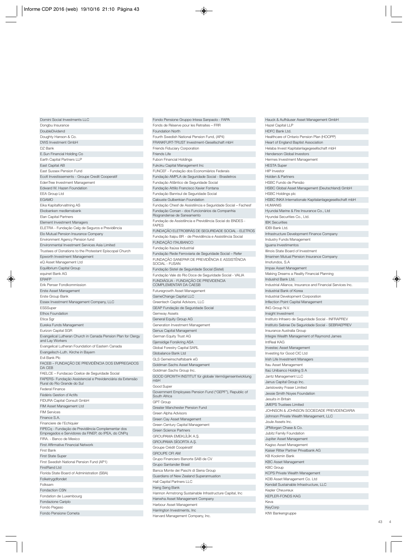| Domini Social Investments LLC                                                                           |
|---------------------------------------------------------------------------------------------------------|
| Dongbu Insurance                                                                                        |
| DoubleDividend                                                                                          |
| Doughty Hanson & Co.                                                                                    |
| DWS Investment GmbH                                                                                     |
| DZ Bank                                                                                                 |
| E.Sun Financial Holding Co                                                                              |
| Earth Capital Partners LLP                                                                              |
| East Capital AB                                                                                         |
| East Sussex Pension Fund                                                                                |
| Ecofi Investissements - Groupe Credit Cooperatif                                                        |
| EdenTree Investment Management                                                                          |
| Edward W. Hazen Foundation                                                                              |
| <b>EEA Group Ltd</b>                                                                                    |
| <b>EGAMO</b>                                                                                            |
| Eika Kapitalforvaltning AS                                                                              |
| Ekobanken medlemsbank                                                                                   |
| Elan Capital Partners                                                                                   |
| <b>Element Investment Managers</b>                                                                      |
| ELETRA - Fundação Celg de Seguros e Previdência                                                         |
| Elo Mutual Pension Insurance Company                                                                    |
| Environment Agency Pension fund                                                                         |
| Environmental Investment Services Asia Limited                                                          |
| Trustees of Donations to the Protestant Episcopal Church                                                |
|                                                                                                         |
| Epworth Investment Management<br>eQ Asset Management Ltd                                                |
| Equilibrium Capital Group                                                                               |
|                                                                                                         |
| equinet Bank AG                                                                                         |
| <b>ERAFP</b><br>Erik Penser Fondkommission                                                              |
|                                                                                                         |
| Erste Asset Management                                                                                  |
| Erste Group Bank                                                                                        |
| Essex Investment Management Company, LLC<br>ESSSuper                                                    |
| <b>Ethos Foundation</b>                                                                                 |
| Etica Sgr                                                                                               |
| Eureka Funds Management                                                                                 |
| Eurizon Capital SGR                                                                                     |
| Evangelical Lutheran Church in Canada Pension Plan for Clergy                                           |
| and Lay Workers                                                                                         |
| Evangelical Lutheran Foundation of Eastern Canada                                                       |
| Evangelisch-Luth. Kirche in Bayern                                                                      |
| Evli Bank Plc                                                                                           |
| FACEB - FUNDAÇÃO DE PREVIDÊNCIA DOS EMPREGADOS                                                          |
| DA CEB                                                                                                  |
| FAELCE - Fundacao Coelce de Seguridade Social                                                           |
| FAPERS- Fundação Assistencial e Previdenciária da Extensão                                              |
| Rural do Rio Grande do Sul                                                                              |
| <b>Federal Finance</b>                                                                                  |
| Fédéris Gestion d'Actifs                                                                                |
| FIDURA Capital Consult GmbH                                                                             |
| FIM Asset Management Ltd                                                                                |
| <b>FIM Services</b>                                                                                     |
| Finance S.A.                                                                                            |
| Financiere de l'Echiquier                                                                               |
| FIPECq - Fundação de Previdência Complementar dos<br>Empregados e Servidores da FINEP, do IPEA, do CNPq |
| FIRA. - Banco de Mexico                                                                                 |
| <b>First Affirmative Financial Network</b>                                                              |
| First Bank                                                                                              |
| <b>First State Super</b>                                                                                |
| First Swedish National Pension Fund (AP1)                                                               |
| FirstRand I td                                                                                          |
| Florida State Board of Administration (SBA)                                                             |
| Folketrygdfondet                                                                                        |
| Folksam                                                                                                 |
|                                                                                                         |
|                                                                                                         |
| <b>Fondaction CSN</b>                                                                                   |
| Fondation de Luxembourg                                                                                 |
| Fondazione Cariplo<br>Fondo Pegaso                                                                      |

Fondo Pensione Cometa

FRANKFURT-TRUST Investment-Gesellschaft mbH Friends Fiduciary Corporation Friends Life Fubon Financial Holdings Fukoku Capital Management Inc FUNCEF - Fundação dos Economiários Federais Fundação AMPLA de Seguridade Social - Brasiletros Fundação Atlântico de Seguridade Social Fundação Attilio Francisco Xavier Fontana Fundação Banrisul de Seguridade Social Calouste Gulbenkian Foundation Fundação Chesf de Assistência e Seguridade Social – Fachesf Fundação Corsan - dos Funcionários da Companhia Riograndense de Saneamento Fundação de Assistência e Previdência Social do BNDES - FAPES FUNDAÇÃO ELETROBRÁS DE SEGURIDADE SOCIAL - ELETROS Fundação Itaipu BR - de Previdência e Assistência Social FUNDAÇÃO ITAUBANCO Fundação Itaúsa Industrial Fundação Rede Ferroviaria de Seguridade Social – Refer FUNDAÇÃO SANEPAR DE PREVIDÊNCIA E ASSISTÊNCIA SOCIAL - FUSAN Fundação Sistel de Seguridade Social (Sistel) Fundação Vale do Rio Doce de Seguridade Social - VALIA FUNDIÁGUA - FUNDAÇÃO DE PREVIDENCIA COMPLEMENTAR DA CAESB Futuregrowth Asset Management GameChange Capital LLC Greentech Capital Advisors, LLC GEAP Fundação de Seguridade Social Gemway Assets General Equity Group AG Generation Investment Management Genus Capital Management German Equity Trust AG Gjensidige Forsikring ASA Global Forestry Capital SARL Globalance Bank Ltd GLS Gemeinschaftsbank eG Goldman Sachs Asset Management Goldman Sachs Group Inc. GOOD GROWTH INSTITUT für globale Vermögensentwicklung mbH Good Super Government Employees Pension Fund ("GEPF"), Republic of South Africa GPT Group Greater Manchester Pension Fund Green Alpha Advisors Green Cay Asset Management Green Century Capital Management Green Science Partners GROUPAMA EMEKLİLİK A.Ş. GROUPAMA SiGORTA A.S, . Groupe Crédit Coopératif GROUPE OFI AM Grupo Financiero Banorte SAB de CV Grupo Santander Brasil Banca Monte dei Paschi di Siena Group Guardians of New Zealand Superannuation Hall Capital Partners LLC Hang Seng Bank Hannon Armstrong Sustainable Infrastructure Capital, Inc Hanwha Asset Management Company Harbour Asset Management Harrington Investments, Inc Harvard Management Company, Inc.

Fondo Pensione Gruppo Intesa Sanpaolo - FAPA Fonds de Réserve pour les Retraites – FRR

Fourth Swedish National Pension Fund, (AP4)

Foundation North

Hauck & Aufhäuser Asset Management GmbH Hazel Capital LLP HDFC Bank Ltd. Healthcare of Ontario Pension Plan (HOOPP) Heart of England Baptist Association Helaba Invest Kapitalanlagegesellschaft mbH Henderson Global Investors Hermes Investment Management HESTA Super HIP Investor Holden & Partners HSBC Fundo de Pensão HSBC Global Asset Management (Deutschland) GmbH HSBC Holdings plc HSBC INKA Internationale Kapitalanlagegesellschaft mbH **HUMANIS** Hyundai Marine & Fire Insurance Co., Ltd Hyundai Securities Co., Ltd. IBK Securities IDBI Bank Ltd. Infrastructure Development Finance Company Industry Funds Management Iguana Investimentos Illinois State Board of Investment Ilmarinen Mutual Pension Insurance Company Imofundos, S.A Impax Asset Management Making Dreams a Reality Financial Planning IndusInd Bank Ltd. Industrial Alliance, Insurance and Financial Services Inc. Industrial Bank of Korea Industrial Development Corporation Inflection Point Capital Management ING Group N.V. Insight Investment Instituto Infraero de Seguridade Social - INFRAPREV Instituto Sebrae De Seguridade Social - SEBRAEPREV Insurance Australia Group Integre Wealth Management of Raymond James IntReal KAG Investec Asset Management Investing for Good CIC Ltd Irish Life Investment Managers Itau Asset Management Itaú Unibanco Holding S A Jantz Management LLC Janus Capital Group Inc. Jarislowsky Fraser Limited Jessie Smith Noyes Foundation Jesuits in Britain JMEPS Trustees Limited JOHNSON & JOHNSON SOCIEDADE PREVIDENCIARIA Johnson Private Wealth Management, LLC Joule Assets Inc. JPMorgan Chase & Co. Jubitz Family Foundation Jupiter Asset Management Kagiso Asset Management Kaiser Ritter Partner Privatbank AG KB Kookmin Bank KBC Asset Management KBC Group KCPS Private Wealth Management KDB Asset Management Co. Ltd Kendall Sustainable Infrastructure, LLC Kepler Cheuvreux KEPLER-FONDS KAG Keva KeyCorp KfW Bankengruppe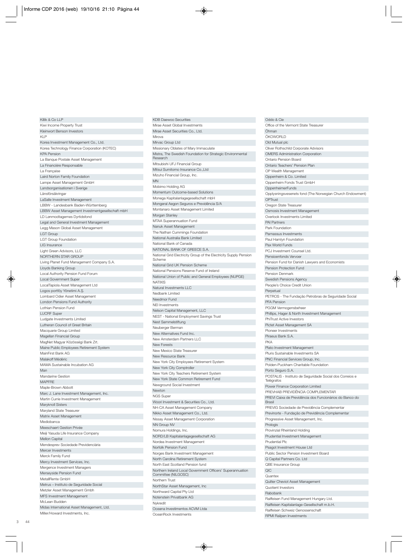| ו שווה פג טיט בבו                                |
|--------------------------------------------------|
| Kiwi Income Property Trust                       |
| Kleinwort Benson Investors                       |
| <b>KLP</b>                                       |
|                                                  |
| Korea Investment Management Co., Ltd.            |
| Korea Technology Finance Corporation (KOTEC)     |
| <b>KPA Pension</b>                               |
| La Banque Postale Asset Management               |
| La Financière Responsable                        |
| La Française                                     |
|                                                  |
| Laird Norton Family Foundation                   |
| Lampe Asset Management GmbH                      |
| Landsorganisationen i Sverige                    |
| Länsförsäkringar                                 |
| LaSalle Investment Management                    |
| LBBW - Landesbank Baden-Württemberg              |
| LBBW Asset Management Investmentgesellschaft mbH |
| LD Lønmodtagernes Dyrtidsfond                    |
| Legal and General Investment Management          |
| Legg Mason Global Asset Management               |
| <b>LGT Group</b>                                 |
| <b>LGT Group Foundation</b>                      |
|                                                  |
| LIG Insurance                                    |
| Light Green Advisors, LLC                        |
| NORTHERN STAR GROUP                              |
| Living Planet Fund Management Company S.A.       |
| Lloyds Banking Group                             |
| Local Authority Pension Fund Forum               |
| Local Government Super                           |
| LocalTapiola Asset Management Ltd                |
| Logos portföy Yönetimi A.Ş.                      |
| Lombard Odier Asset Management                   |
|                                                  |
| London Pensions Fund Authority                   |
| Lothian Pension Fund                             |
| <b>LUCRF Super</b>                               |
| Ludgate Investments Limited                      |
| Lutheran Council of Great Britain                |
| Macquarie Group Limited                          |
| Magellan Financial Group                         |
| MagNet Magyar Közösségi Bank Zrt.                |
| Maine Public Employees Retirement System         |
| MainFirst Bank AG                                |
| Malakoff Médéric                                 |
|                                                  |
| MAMA Sustainable Incubation AG                   |
| Man                                              |
| Mandarine Gestion                                |
| <b>MAPFRE</b>                                    |
| Maple-Brown Abbott                               |
| Marc J. Lane Investment Management, Inc.         |
|                                                  |
| Martin Currie Investment Management              |
|                                                  |
| Maryknoll Sisters                                |
| Maryland State Treasurer                         |
| Matrix Asset Management                          |
| Mediobanca                                       |
| Meeschaert Gestion Privée                        |
| Meiji Yasuda Life Insurance Company              |
| Mellon Capital                                   |
| Mendesprev Sociedade Previdenciária              |
| Mercer Investments                               |
| Merck Family Fund                                |
| Mercy Investment Services, Inc.                  |
|                                                  |
| Mergence Investment Managers                     |
| Merseyside Pension Fund                          |
| MetallRente GmbH                                 |
| Metrus - Instituto de Seguridade Social          |
| Metzler Asset Management Gmbh                    |
| MFS Investment Management                        |
| McLean Budden                                    |
| Midas International Asset Management, Ltd.       |

Killik & Co LLP

KDB Daewoo Securities Mirae Asset Global Investments Mirae Asset Securities Co., Ltd. Mirova Mirvac Group Ltd Missionary Oblates of Mary Immaculate Mistra, The Swedish Foundation for Strategic Environmental Research Mitsubishi UFJ Financial Group Mitsui Sumitomo Insurance Co.,Ltd Mizuho Financial Group, Inc. MN Mobimo Holding AG Momentum Outcome-based Solutions Monega Kapitalanlagegesellschaft mbH Mongeral Aegon Seguros e Previdência S/A Montanaro Asset Management Limited Morgan Stanley MTAA Superannuation Fund Nanuk Asset Management The Nathan Cummings Foundation National Australia Bank Limited National Bank of Canada NATIONAL BANK OF GREECE S.A. National Grid Electricity Group of the Electricity Supply Pension Scheme National Grid UK Pension Scheme National Pensions Reserve Fund of Ireland National Union of Public and General Employees (NUPGE) NATIXIS Natural Investments LLC Nedbank Limited Needmor Fund NEI Investments Nelson Capital Management, LLC NEST - National Employment Savings Trust Nest Sammelstiftung Neuberger Berman New Alternatives Fund Inc. New Amsterdam Partners LLC New Forests New Mexico State Treasurer New Resource Bank New York City Employees Retirement System New York City Comptroller New York City Teachers Retirement System New York State Common Retirement Fund Newground Social Investment Newton NGS Super Woori Investment & Securities Co., Ltd. NH-CA Asset Management Company Nikko Asset Management Co., Ltd. Nissay Asset Management Corporation NN Group NV Nomura Holdings, Inc. NORD/LB Kapitalanlagegesellschaft AG Nordea Investment Management Norfolk Pension Fund Norges Bank Investment Management North Carolina Retirement System North East Scotland Pension fund Northern Ireland Local Government Officers' Superannuation Committee (NILGOSC) Northern Trust NorthStar Asset Management, Inc Northward Capital Pty Ltd Notenstein Privatbank AG Nykredit Oceana Investimentos ACVM Ltda OceanRock Investments

| Oddo & Cie                                                                              |
|-----------------------------------------------------------------------------------------|
| Office of the Vermont State Treasurer                                                   |
| Öhman                                                                                   |
| ÖKOWORLD                                                                                |
| Old Mutual plc                                                                          |
| Oliver Rothschild Corporate Advisors                                                    |
| <b>OMERS Administration Corporation</b><br>Ontario Pension Board                        |
| Ontario Teachers' Pension Plan                                                          |
| OP Wealth Management                                                                    |
| Oppenheim & Co. Limited                                                                 |
| Oppenheim Fonds Trust GmbH                                                              |
| OppenheimerFunds                                                                        |
| Opplysningsvesenets fond (The Norwegian Church Endowment)                               |
| OPTrust                                                                                 |
| Oregon State Treasurer                                                                  |
| Osmosis Investment Management                                                           |
| Overlook Investments Limited                                                            |
| <b>PAI Partners</b><br>Park Foundation                                                  |
| Parnassus Investments                                                                   |
| Paul Hamlyn Foundation                                                                  |
| Pax World Funds                                                                         |
| PCJ Investment Counsel Ltd.                                                             |
| Pensioenfonds Vervoer                                                                   |
| Pension Fund for Danish Lawyers and Economists                                          |
| Pension Protection Fund                                                                 |
| Pension Denmark                                                                         |
| Swedish Pensions Agency                                                                 |
| People's Choice Credit Union                                                            |
| Perpetual<br>PETROS - The Fundação Petrobras de Seguridade Social                       |
| <b>PFA Pension</b>                                                                      |
| PGGM Vermogensbeheer                                                                    |
| Phillips, Hager & North Investment Management                                           |
| PhiTrust Active Investors                                                               |
| Pictet Asset Management SA                                                              |
| Pioneer Investments                                                                     |
| Piraeus Bank S.A.<br><b>PKA</b>                                                         |
| Plato Investment Management                                                             |
| Pluris Sustainable Investments SA                                                       |
| PNC Financial Services Group, Inc.                                                      |
| Polden-Puckham Charitable Foundation                                                    |
| Porto Seguro S.A.                                                                       |
| POSTALIS - Instituto de Seguridade Social dos Correios e                                |
| Telégrafos<br>Power Finance Corporation Limited                                         |
| PREVHAB PREVIDÊNCIA COMPLEMENTAR                                                        |
| PREVI Caixa de Previdência dos Funcionários do Banco do                                 |
| <b>Brasil</b>                                                                           |
| PREVIG Sociedade de Previdência Complementar                                            |
| Previnorte - Fundação de Previdência Complementar                                       |
| Progressive Asset Management, Inc.                                                      |
| Prologis<br>Provinzial Rheinland Holding                                                |
| Prudential Investment Management                                                        |
| <b>Prudential Plc</b>                                                                   |
| Psagot Investment House Ltd                                                             |
| Public Sector Pension Investment Board                                                  |
| Q Capital Partners Co. Ltd                                                              |
| QBE Insurance Group                                                                     |
| QIC                                                                                     |
|                                                                                         |
| Quantex                                                                                 |
| Quilter Cheviot Asset Management                                                        |
| Quotient Investors                                                                      |
| Rabobank                                                                                |
| Raiffeisen Fund Management Hungary Ltd.<br>Raiffeisen Kapitalanlage-Gesellschaft m.b.H. |
| Raiffeisen Schweiz Genossenschaft                                                       |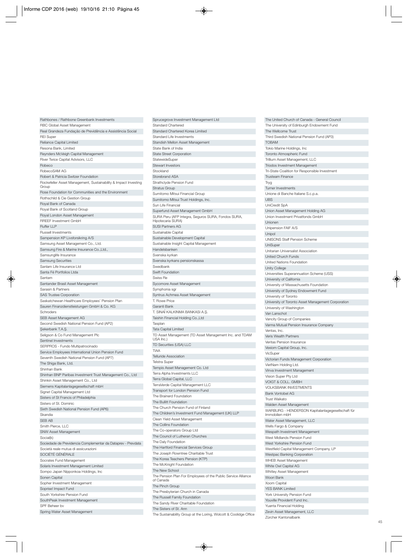| Rathbones / Rathbone Greenbank Investments                                             |
|----------------------------------------------------------------------------------------|
| RBC Global Asset Management                                                            |
| Real Grandeza Fundação de Previdência e Assistência Social                             |
| <b>REI Super</b>                                                                       |
| Reliance Capital Limited                                                               |
| Resona Bank, Limited                                                                   |
| Reynders McVeigh Capital Management                                                    |
| River Twice Capital Advisors, LLC<br>Robeco                                            |
| RobecoSAM AG                                                                           |
| Robert & Patricia Switzer Foundation                                                   |
| Rockefeller Asset Management, Sustainability & Impact Investing                        |
| Group                                                                                  |
| Rose Foundation for Communities and the Environment                                    |
| Rothschild & Cie Gestion Group                                                         |
| Royal Bank of Canada                                                                   |
| Royal Bank of Scotland Group<br>Royal London Asset Management                          |
| RREEF Investment GmbH                                                                  |
| Ruffer LLP                                                                             |
| Russell Investments                                                                    |
| Sampension KP Livsforsikring A/S                                                       |
| Samsung Asset Management Co., Ltd.                                                     |
| Samsung Fire & Marine Insurance Co., Ltd.,                                             |
| Samsunglife Insurance                                                                  |
| <b>Samsung Securities</b>                                                              |
| Sanlam Life Insurance Ltd                                                              |
| Santa Fé Portfolios Ltda                                                               |
| Santam                                                                                 |
| Santander Brasil Asset Management<br>Sarasin & Partners                                |
| <b>SAS Trustee Corporation</b>                                                         |
| Saskatchewan Healthcare Employees' Pension Plan                                        |
| Sauren Finanzdienstleistungen GmbH & Co. KG                                            |
| Schroders                                                                              |
| SEB Asset Management AG                                                                |
| Second Swedish National Pension Fund (AP2)                                             |
| Şekerbank T.A.Ş.                                                                       |
| Seligson & Co Fund Management Plc                                                      |
| Sentinel Investments                                                                   |
| SERPROS - Fundo Multipatrocinado<br>Service Employees International Union Pension Fund |
| Seventh Swedish National Pension Fund (AP7)                                            |
| The Shiga Bank, Ltd.                                                                   |
| Shinhan Bank                                                                           |
| Shinhan BNP Paribas Investment Trust Management Co., Ltd                               |
| Shinkin Asset Management Co., Ltd                                                      |
| Siemens Kapitalanlagegesellschaft mbH                                                  |
| Signet Capital Management Ltd                                                          |
| Sisters of St Francis of Philadelphia                                                  |
| Sisters of St. Dominic                                                                 |
| Sixth Swedish National Pension Fund (AP6)                                              |
| Skandia<br>SEB AB                                                                      |
| Smith Pierce, LLC                                                                      |
| <b>SNW Asset Management</b>                                                            |
| Social(k)                                                                              |
| Sociedade de Previdencia Complementar da Dataprev - Prevdata                           |
| Società reale mutua di assicurazioni                                                   |
| SOCIÉTÉ GÉNÉRALE                                                                       |
| Socrates Fund Management                                                               |
| Solaris Investment Management Limited                                                  |
|                                                                                        |
| Sompo Japan Nipponkoa Holdings, Inc                                                    |
| Sonen Capital                                                                          |
| Sopher Investment Management                                                           |
| Soprise! Impact Fund                                                                   |
| South Yorkshire Pension Fund<br>SouthPeak Investment Management                        |
| SPF Beheer by                                                                          |

Sprucegrove Investment Management Ltd Standard Chartered Standard Chartered Korea Limited Standard Life Investments Standish Mellon Asset Management State Bank of India State Street Corporation **StatewideSuper** Stewart Investors Stockland Storebrand ASA Strathclyde Pension Fund Stratus Group Sumitomo Mitsui Financial Group Sumitomo Mitsui Trust Holdings, Inc. Sun Life Financial Superfund Asset Management GmbH SURA Peru (AFP Integra, Seguros SURA, Fondos SURA, Hipotecaria SURA) SUSI Partners AG Sustainable Capital Sustainable Development Capital Sustainable Insight Capital Management Handelsbanken Svenska kyrkan Svenska kyrkans pensionskassa Swedbank Swift Foundation Swiss Re Sycomore Asset Management Symphonia sgr Syntrus Achmea Asset Management T. Rowe Price Garanti Bank T. SINAi KALKINMA BANKASI A.S, . Taishin Financial Holding Co.,Ltd **Tasplan** Tata Capital Limited TD Asset Management (TD Asset Management Inc. and TDAM USA Inc.) TD Securities (USA) LLC TIAA Telluride Association Telstra Super Tempis Asset Management Co. Ltd Terra Alpha Investments LLC Terra Global Capital, LLC TerraVerde Capital Management LLC Transport for London Pension Fund The Brainerd Foundation The Bullitt Foundation The Church Pension Fund of Finland The Children's Investment Fund Management (UK) LLP Clean Yield Asset Management The Collins Foundation The Co-operators Group Ltd The Council of Lutheran Churches The Daly Foundation The Hartford Financial Services Group The Joseph Rowntree Charitable Trust The Korea Teachers Pension (KTP) The McKnight Foundation The New School The Pension Plan For Employees of the Public Service Alliance of Canada The Pinch Group The Presbyterian Church in Canada The Russell Family Foundation The Sandy River Charitable Foundation The Sisters of St. Ann The Sustainability Group at the Loring, Wolcott & Coolidge Office

| The University of Edinburgh Endowment Fund                                     |
|--------------------------------------------------------------------------------|
| The Wellcome Trust                                                             |
| Third Swedish National Pension Fund (AP3)                                      |
| <b>TOBAM</b>                                                                   |
| Tokio Marine Holdings, Inc                                                     |
| Toronto Atmospheric Fund                                                       |
| Trillium Asset Management, LLC                                                 |
| Triodos Investment Management                                                  |
| Tri-State Coalition for Responsible Investment                                 |
| <b>Trusteam Finance</b>                                                        |
| Tryg                                                                           |
| Turner Investments                                                             |
| Unione di Banche Italiane S.c.p.a.                                             |
| <b>UBS</b>                                                                     |
| UniCredit SpA                                                                  |
| Union Asset Management Holding AG<br>Union Investment Privatfonds GmbH         |
| Unionen                                                                        |
| Unipension FAIF A/S                                                            |
| Unipol                                                                         |
| UNISONS Staff Pension Scheme                                                   |
| UniSuper                                                                       |
| Unitarian Universalist Association                                             |
| <b>United Church Funds</b>                                                     |
| United Nations Foundation                                                      |
| <b>Unity College</b>                                                           |
| Universities Superannuation Scheme (USS)                                       |
| University of California                                                       |
| University of Massachusetts Foundation                                         |
| University of Sydney Endowment Fund                                            |
| University of Toronto                                                          |
| University of Toronto Asset Management Corporation<br>University of Washington |
| Van Lanschot                                                                   |
|                                                                                |
|                                                                                |
| Vancity Group of Companies                                                     |
| Varma Mutual Pension Insurance Company<br>Ventas, Inc.                         |
| Veris Wealth Partners                                                          |
| Veritas Pension Insurance                                                      |
| Vexiom Capital Group, Inc.                                                     |
| VicSuper                                                                       |
| Victorian Funds Management Corporation                                         |
| VietNam Holding Ltd.                                                           |
| Vinva Investment Management                                                    |
| Vision Super Pty Ltd                                                           |
| VOIGT & COLL. GMBH                                                             |
| <b>VOLKSBANK INVESTMENTS</b>                                                   |
| <b>Bank Vontobel AG</b>                                                        |
| Trust Waikato                                                                  |
| Walden Asset Management<br>WARBURG - HENDERSON Kapitalanlagegesellschaft für   |
| Immobilien mbH                                                                 |
| Water Asset Management, LLC                                                    |
| Wells Fargo & Company                                                          |
| Wespath Investment Management                                                  |
| West Midlands Pension Fund                                                     |
| West Yorkshire Pension Fund                                                    |
| Westfield Capital Management Company, LP                                       |
| Westpac Banking Corporation                                                    |
| <b>WHEB Asset Management</b>                                                   |
| White Owl Capital AG                                                           |
| Whitley Asset Management<br>Woori Bank                                         |
| Xoom Capital                                                                   |
| <b>YES BANK Limited</b>                                                        |
| York University Pension Fund                                                   |
| Youville Provident Fund Inc.                                                   |
| Yuanta Financial Holding                                                       |
| Zevin Asset Management, LLC<br>Zürcher Kantonalbank                            |

The United Church of Canada - General Council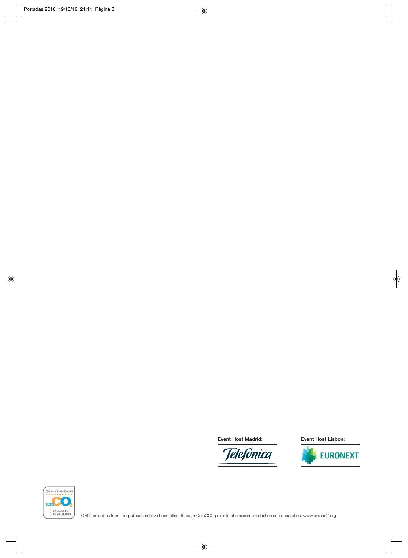**Event Host Madrid: Event Host Lisbon:**